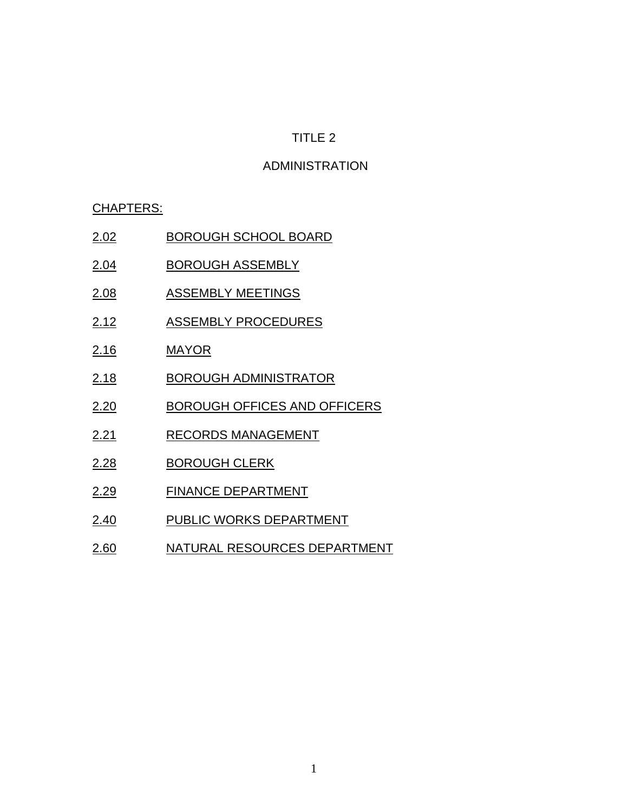# ADMINISTRATION

CHAPTERS:

- 2.02 BOROUGH SCHOOL BOARD
- 2.04 BOROUGH ASSEMBLY
- 2.08 ASSEMBLY MEETINGS
- 2.12 ASSEMBLY PROCEDURES
- 2.16 MAYOR
- 2.18 BOROUGH ADMINISTRATOR
- 2.20 BOROUGH OFFICES AND OFFICERS
- 2.21 RECORDS MANAGEMENT
- 2.28 BOROUGH CLERK
- 2.29 FINANCE DEPARTMENT
- 2.40 PUBLIC WORKS DEPARTMENT
- 2.60 NATURAL RESOURCES DEPARTMENT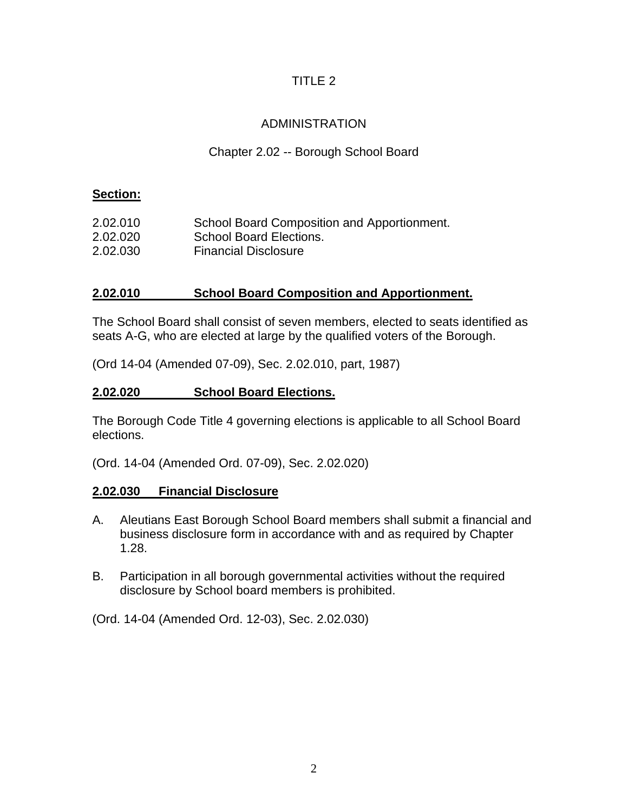# ADMINISTRATION

# Chapter 2.02 -- Borough School Board

# **Section:**

| 2.02.010 | School Board Composition and Apportionment. |
|----------|---------------------------------------------|
| 2.02.020 | <b>School Board Elections.</b>              |
| 2.02.030 | <b>Financial Disclosure</b>                 |

### **2.02.010 School Board Composition and Apportionment.**

The School Board shall consist of seven members, elected to seats identified as seats A-G, who are elected at large by the qualified voters of the Borough.

(Ord 14-04 (Amended 07-09), Sec. 2.02.010, part, 1987)

# **2.02.020 School Board Elections.**

The Borough Code Title 4 governing elections is applicable to all School Board elections.

(Ord. 14-04 (Amended Ord. 07-09), Sec. 2.02.020)

#### **2.02.030 Financial Disclosure**

- A. Aleutians East Borough School Board members shall submit a financial and business disclosure form in accordance with and as required by Chapter 1.28.
- B. Participation in all borough governmental activities without the required disclosure by School board members is prohibited.

(Ord. 14-04 (Amended Ord. 12-03), Sec. 2.02.030)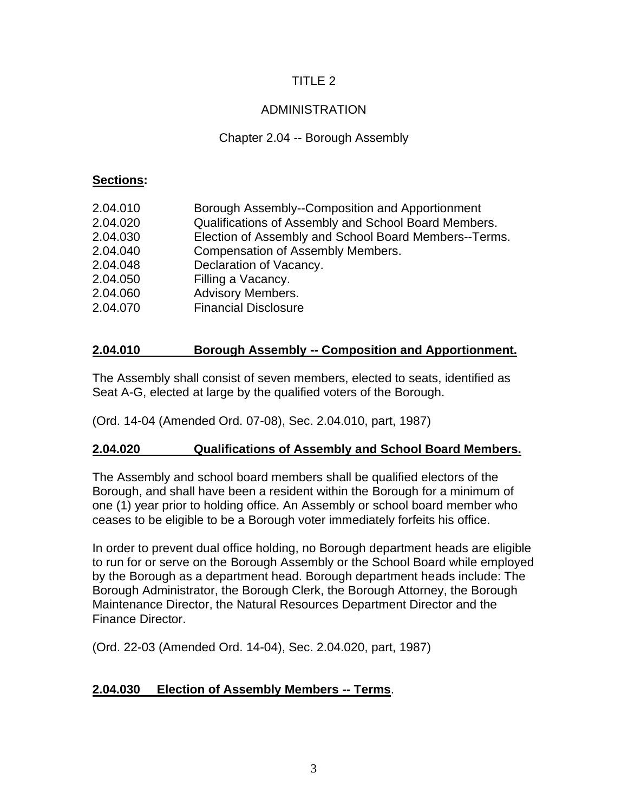# ADMINISTRATION

# Chapter 2.04 -- Borough Assembly

### **Sections:**

| 2.04.010 | Borough Assembly--Composition and Apportionment       |
|----------|-------------------------------------------------------|
| 2.04.020 | Qualifications of Assembly and School Board Members.  |
| 2.04.030 | Election of Assembly and School Board Members--Terms. |
| 2.04.040 | Compensation of Assembly Members.                     |
| 2.04.048 | Declaration of Vacancy.                               |
| 2.04.050 | Filling a Vacancy.                                    |
| 2.04.060 | <b>Advisory Members.</b>                              |
| 2.04.070 | <b>Financial Disclosure</b>                           |
|          |                                                       |

# **2.04.010 Borough Assembly -- Composition and Apportionment.**

The Assembly shall consist of seven members, elected to seats, identified as Seat A-G, elected at large by the qualified voters of the Borough.

(Ord. 14-04 (Amended Ord. 07-08), Sec. 2.04.010, part, 1987)

# **2.04.020 Qualifications of Assembly and School Board Members.**

The Assembly and school board members shall be qualified electors of the Borough, and shall have been a resident within the Borough for a minimum of one (1) year prior to holding office. An Assembly or school board member who ceases to be eligible to be a Borough voter immediately forfeits his office.

In order to prevent dual office holding, no Borough department heads are eligible to run for or serve on the Borough Assembly or the School Board while employed by the Borough as a department head. Borough department heads include: The Borough Administrator, the Borough Clerk, the Borough Attorney, the Borough Maintenance Director, the Natural Resources Department Director and the Finance Director.

(Ord. 22-03 (Amended Ord. 14-04), Sec. 2.04.020, part, 1987)

# **2.04.030 Election of Assembly Members -- Terms**.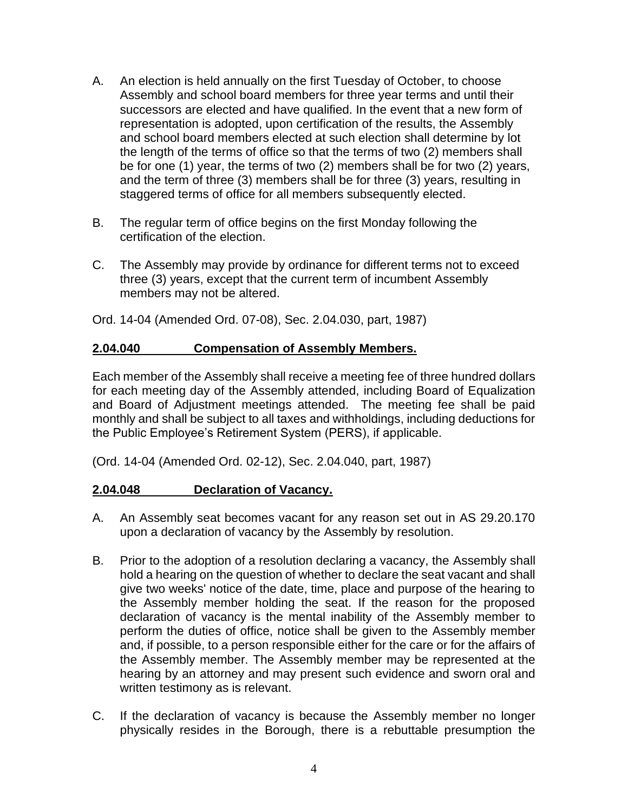- A. An election is held annually on the first Tuesday of October, to choose Assembly and school board members for three year terms and until their successors are elected and have qualified. In the event that a new form of representation is adopted, upon certification of the results, the Assembly and school board members elected at such election shall determine by lot the length of the terms of office so that the terms of two (2) members shall be for one (1) year, the terms of two (2) members shall be for two (2) years, and the term of three (3) members shall be for three (3) years, resulting in staggered terms of office for all members subsequently elected.
- B. The regular term of office begins on the first Monday following the certification of the election.
- C. The Assembly may provide by ordinance for different terms not to exceed three (3) years, except that the current term of incumbent Assembly members may not be altered.
- Ord. 14-04 (Amended Ord. 07-08), Sec. 2.04.030, part, 1987)

### **2.04.040 Compensation of Assembly Members.**

Each member of the Assembly shall receive a meeting fee of three hundred dollars for each meeting day of the Assembly attended, including Board of Equalization and Board of Adjustment meetings attended. The meeting fee shall be paid monthly and shall be subject to all taxes and withholdings, including deductions for the Public Employee's Retirement System (PERS), if applicable.

(Ord. 14-04 (Amended Ord. 02-12), Sec. 2.04.040, part, 1987)

#### **2.04.048 Declaration of Vacancy.**

- A. An Assembly seat becomes vacant for any reason set out in AS 29.20.170 upon a declaration of vacancy by the Assembly by resolution.
- B. Prior to the adoption of a resolution declaring a vacancy, the Assembly shall hold a hearing on the question of whether to declare the seat vacant and shall give two weeks' notice of the date, time, place and purpose of the hearing to the Assembly member holding the seat. If the reason for the proposed declaration of vacancy is the mental inability of the Assembly member to perform the duties of office, notice shall be given to the Assembly member and, if possible, to a person responsible either for the care or for the affairs of the Assembly member. The Assembly member may be represented at the hearing by an attorney and may present such evidence and sworn oral and written testimony as is relevant.
- C. If the declaration of vacancy is because the Assembly member no longer physically resides in the Borough, there is a rebuttable presumption the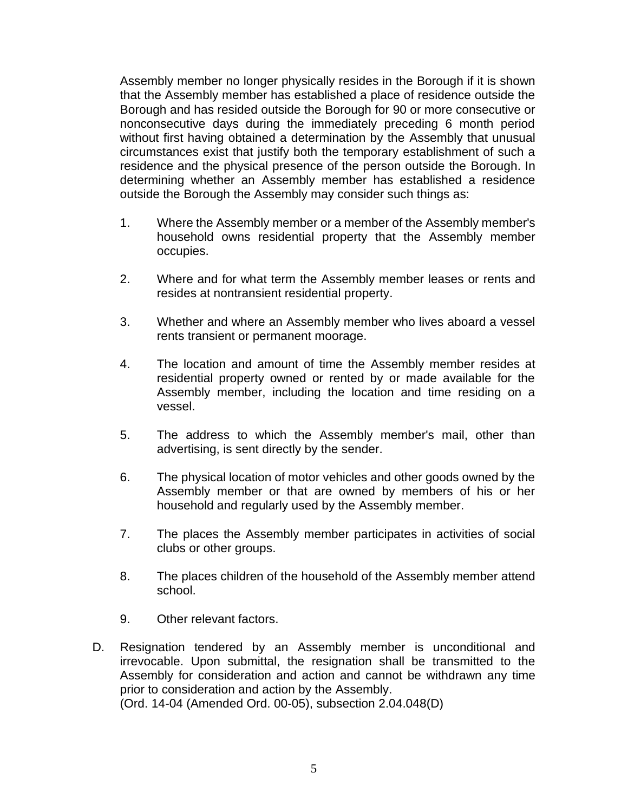Assembly member no longer physically resides in the Borough if it is shown that the Assembly member has established a place of residence outside the Borough and has resided outside the Borough for 90 or more consecutive or nonconsecutive days during the immediately preceding 6 month period without first having obtained a determination by the Assembly that unusual circumstances exist that justify both the temporary establishment of such a residence and the physical presence of the person outside the Borough. In determining whether an Assembly member has established a residence outside the Borough the Assembly may consider such things as:

- 1. Where the Assembly member or a member of the Assembly member's household owns residential property that the Assembly member occupies.
- 2. Where and for what term the Assembly member leases or rents and resides at nontransient residential property.
- 3. Whether and where an Assembly member who lives aboard a vessel rents transient or permanent moorage.
- 4. The location and amount of time the Assembly member resides at residential property owned or rented by or made available for the Assembly member, including the location and time residing on a vessel.
- 5. The address to which the Assembly member's mail, other than advertising, is sent directly by the sender.
- 6. The physical location of motor vehicles and other goods owned by the Assembly member or that are owned by members of his or her household and regularly used by the Assembly member.
- 7. The places the Assembly member participates in activities of social clubs or other groups.
- 8. The places children of the household of the Assembly member attend school.
- 9. Other relevant factors.
- D. Resignation tendered by an Assembly member is unconditional and irrevocable. Upon submittal, the resignation shall be transmitted to the Assembly for consideration and action and cannot be withdrawn any time prior to consideration and action by the Assembly. (Ord. 14-04 (Amended Ord. 00-05), subsection 2.04.048(D)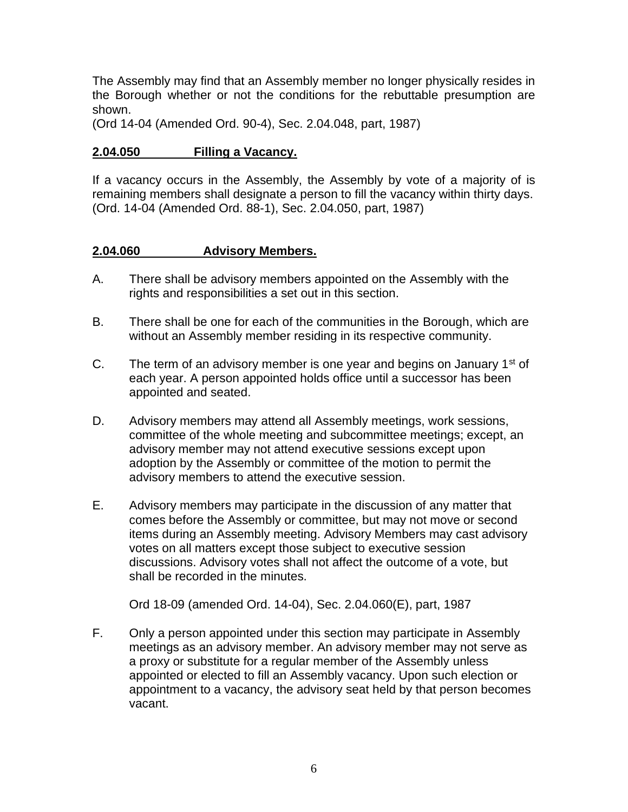The Assembly may find that an Assembly member no longer physically resides in the Borough whether or not the conditions for the rebuttable presumption are shown.

(Ord 14-04 (Amended Ord. 90-4), Sec. 2.04.048, part, 1987)

#### **2.04.050 Filling a Vacancy.**

If a vacancy occurs in the Assembly, the Assembly by vote of a majority of is remaining members shall designate a person to fill the vacancy within thirty days. (Ord. 14-04 (Amended Ord. 88-1), Sec. 2.04.050, part, 1987)

#### **2.04.060 Advisory Members.**

- A. There shall be advisory members appointed on the Assembly with the rights and responsibilities a set out in this section.
- B. There shall be one for each of the communities in the Borough, which are without an Assembly member residing in its respective community.
- C. The term of an advisory member is one year and begins on January  $1<sup>st</sup>$  of each year. A person appointed holds office until a successor has been appointed and seated.
- D. Advisory members may attend all Assembly meetings, work sessions, committee of the whole meeting and subcommittee meetings; except, an advisory member may not attend executive sessions except upon adoption by the Assembly or committee of the motion to permit the advisory members to attend the executive session.
- E. Advisory members may participate in the discussion of any matter that comes before the Assembly or committee, but may not move or second items during an Assembly meeting. Advisory Members may cast advisory votes on all matters except those subject to executive session discussions. Advisory votes shall not affect the outcome of a vote, but shall be recorded in the minutes.

Ord 18-09 (amended Ord. 14-04), Sec. 2.04.060(E), part, 1987

F. Only a person appointed under this section may participate in Assembly meetings as an advisory member. An advisory member may not serve as a proxy or substitute for a regular member of the Assembly unless appointed or elected to fill an Assembly vacancy. Upon such election or appointment to a vacancy, the advisory seat held by that person becomes vacant.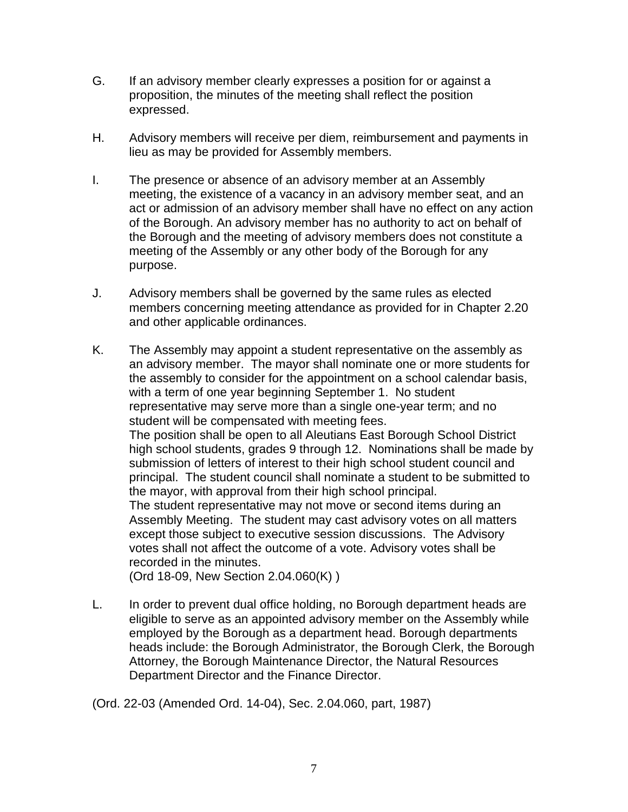- G. If an advisory member clearly expresses a position for or against a proposition, the minutes of the meeting shall reflect the position expressed.
- H. Advisory members will receive per diem, reimbursement and payments in lieu as may be provided for Assembly members.
- I. The presence or absence of an advisory member at an Assembly meeting, the existence of a vacancy in an advisory member seat, and an act or admission of an advisory member shall have no effect on any action of the Borough. An advisory member has no authority to act on behalf of the Borough and the meeting of advisory members does not constitute a meeting of the Assembly or any other body of the Borough for any purpose.
- J. Advisory members shall be governed by the same rules as elected members concerning meeting attendance as provided for in Chapter 2.20 and other applicable ordinances.
- K. The Assembly may appoint a student representative on the assembly as an advisory member. The mayor shall nominate one or more students for the assembly to consider for the appointment on a school calendar basis, with a term of one year beginning September 1. No student representative may serve more than a single one-year term; and no student will be compensated with meeting fees. The position shall be open to all Aleutians East Borough School District high school students, grades 9 through 12. Nominations shall be made by submission of letters of interest to their high school student council and principal. The student council shall nominate a student to be submitted to the mayor, with approval from their high school principal. The student representative may not move or second items during an Assembly Meeting. The student may cast advisory votes on all matters except those subject to executive session discussions. The Advisory votes shall not affect the outcome of a vote. Advisory votes shall be recorded in the minutes. (Ord 18-09, New Section 2.04.060(K) )
- L. In order to prevent dual office holding, no Borough department heads are eligible to serve as an appointed advisory member on the Assembly while employed by the Borough as a department head. Borough departments heads include: the Borough Administrator, the Borough Clerk, the Borough Attorney, the Borough Maintenance Director, the Natural Resources Department Director and the Finance Director.

(Ord. 22-03 (Amended Ord. 14-04), Sec. 2.04.060, part, 1987)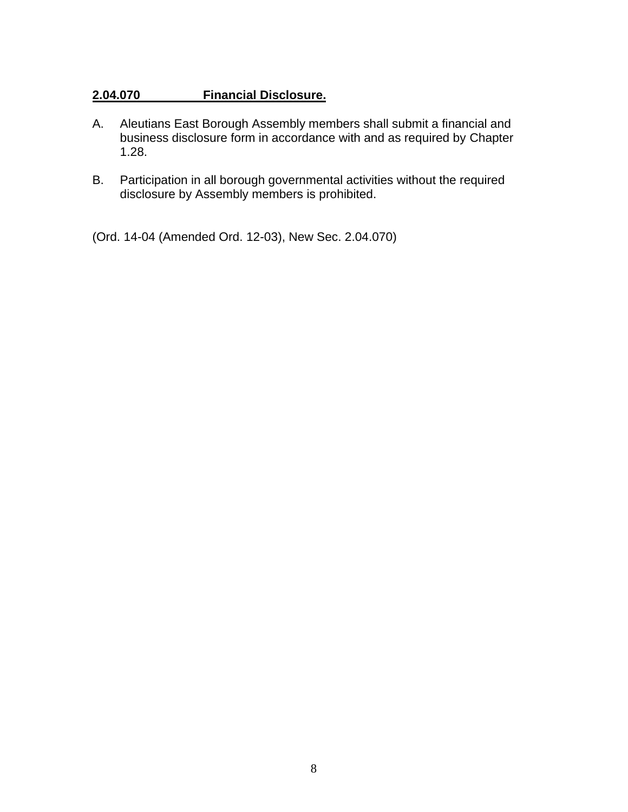## **2.04.070 Financial Disclosure.**

- A. Aleutians East Borough Assembly members shall submit a financial and business disclosure form in accordance with and as required by Chapter 1.28.
- B. Participation in all borough governmental activities without the required disclosure by Assembly members is prohibited.

(Ord. 14-04 (Amended Ord. 12-03), New Sec. 2.04.070)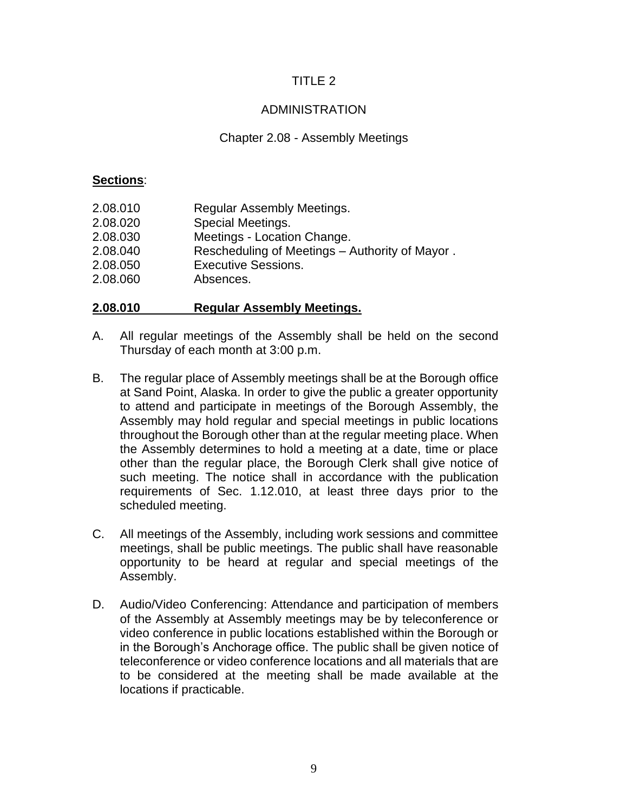### ADMINISTRATION

#### Chapter 2.08 - Assembly Meetings

#### **Sections**:

| 2.08.010 | Regular Assembly Meetings.                     |
|----------|------------------------------------------------|
| 2.08.020 | Special Meetings.                              |
| 2.08.030 | Meetings - Location Change.                    |
| 2.08.040 | Rescheduling of Meetings - Authority of Mayor. |
| 2.08.050 | <b>Executive Sessions.</b>                     |
| 2.08.060 | Absences.                                      |
|          |                                                |

#### **2.08.010 Regular Assembly Meetings.**

- A. All regular meetings of the Assembly shall be held on the second Thursday of each month at 3:00 p.m.
- B. The regular place of Assembly meetings shall be at the Borough office at Sand Point, Alaska. In order to give the public a greater opportunity to attend and participate in meetings of the Borough Assembly, the Assembly may hold regular and special meetings in public locations throughout the Borough other than at the regular meeting place. When the Assembly determines to hold a meeting at a date, time or place other than the regular place, the Borough Clerk shall give notice of such meeting. The notice shall in accordance with the publication requirements of Sec. 1.12.010, at least three days prior to the scheduled meeting.
- C. All meetings of the Assembly, including work sessions and committee meetings, shall be public meetings. The public shall have reasonable opportunity to be heard at regular and special meetings of the Assembly.
- D. Audio/Video Conferencing: Attendance and participation of members of the Assembly at Assembly meetings may be by teleconference or video conference in public locations established within the Borough or in the Borough's Anchorage office. The public shall be given notice of teleconference or video conference locations and all materials that are to be considered at the meeting shall be made available at the locations if practicable.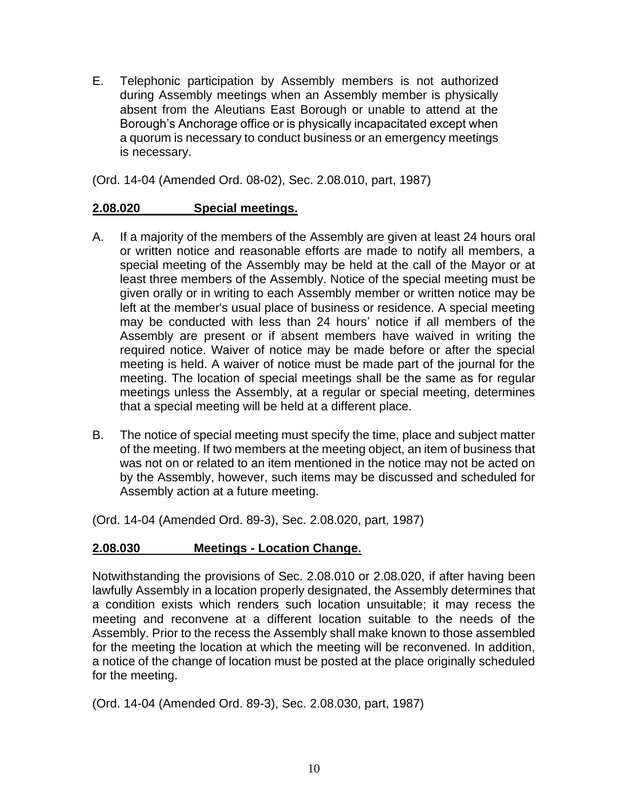E. Telephonic participation by Assembly members is not authorized during Assembly meetings when an Assembly member is physically absent from the Aleutians East Borough or unable to attend at the Borough's Anchorage office or is physically incapacitated except when a quorum is necessary to conduct business or an emergency meetings is necessary.

(Ord. 14-04 (Amended Ord. 08-02), Sec. 2.08.010, part, 1987)

# **2.08.020 Special meetings.**

- A. If a majority of the members of the Assembly are given at least 24 hours oral or written notice and reasonable efforts are made to notify all members, a special meeting of the Assembly may be held at the call of the Mayor or at least three members of the Assembly. Notice of the special meeting must be given orally or in writing to each Assembly member or written notice may be left at the member's usual place of business or residence. A special meeting may be conducted with less than 24 hours' notice if all members of the Assembly are present or if absent members have waived in writing the required notice. Waiver of notice may be made before or after the special meeting is held. A waiver of notice must be made part of the journal for the meeting. The location of special meetings shall be the same as for regular meetings unless the Assembly, at a regular or special meeting, determines that a special meeting will be held at a different place.
- B. The notice of special meeting must specify the time, place and subject matter of the meeting. If two members at the meeting object, an item of business that was not on or related to an item mentioned in the notice may not be acted on by the Assembly, however, such items may be discussed and scheduled for Assembly action at a future meeting.

(Ord. 14-04 (Amended Ord. 89-3), Sec. 2.08.020, part, 1987)

# **2.08.030 Meetings - Location Change.**

Notwithstanding the provisions of Sec. 2.08.010 or 2.08.020, if after having been lawfully Assembly in a location properly designated, the Assembly determines that a condition exists which renders such location unsuitable; it may recess the meeting and reconvene at a different location suitable to the needs of the Assembly. Prior to the recess the Assembly shall make known to those assembled for the meeting the location at which the meeting will be reconvened. In addition, a notice of the change of location must be posted at the place originally scheduled for the meeting.

(Ord. 14-04 (Amended Ord. 89-3), Sec. 2.08.030, part, 1987)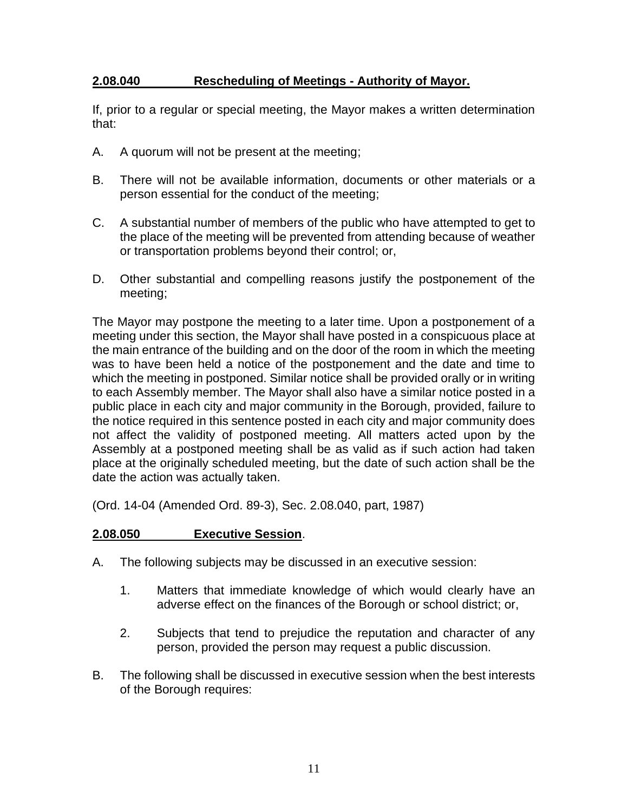#### **2.08.040 Rescheduling of Meetings - Authority of Mayor.**

If, prior to a regular or special meeting, the Mayor makes a written determination that:

- A. A quorum will not be present at the meeting;
- B. There will not be available information, documents or other materials or a person essential for the conduct of the meeting;
- C. A substantial number of members of the public who have attempted to get to the place of the meeting will be prevented from attending because of weather or transportation problems beyond their control; or,
- D. Other substantial and compelling reasons justify the postponement of the meeting;

The Mayor may postpone the meeting to a later time. Upon a postponement of a meeting under this section, the Mayor shall have posted in a conspicuous place at the main entrance of the building and on the door of the room in which the meeting was to have been held a notice of the postponement and the date and time to which the meeting in postponed. Similar notice shall be provided orally or in writing to each Assembly member. The Mayor shall also have a similar notice posted in a public place in each city and major community in the Borough, provided, failure to the notice required in this sentence posted in each city and major community does not affect the validity of postponed meeting. All matters acted upon by the Assembly at a postponed meeting shall be as valid as if such action had taken place at the originally scheduled meeting, but the date of such action shall be the date the action was actually taken.

(Ord. 14-04 (Amended Ord. 89-3), Sec. 2.08.040, part, 1987)

#### **2.08.050 Executive Session**.

- A. The following subjects may be discussed in an executive session:
	- 1. Matters that immediate knowledge of which would clearly have an adverse effect on the finances of the Borough or school district; or,
	- 2. Subjects that tend to prejudice the reputation and character of any person, provided the person may request a public discussion.
- B. The following shall be discussed in executive session when the best interests of the Borough requires: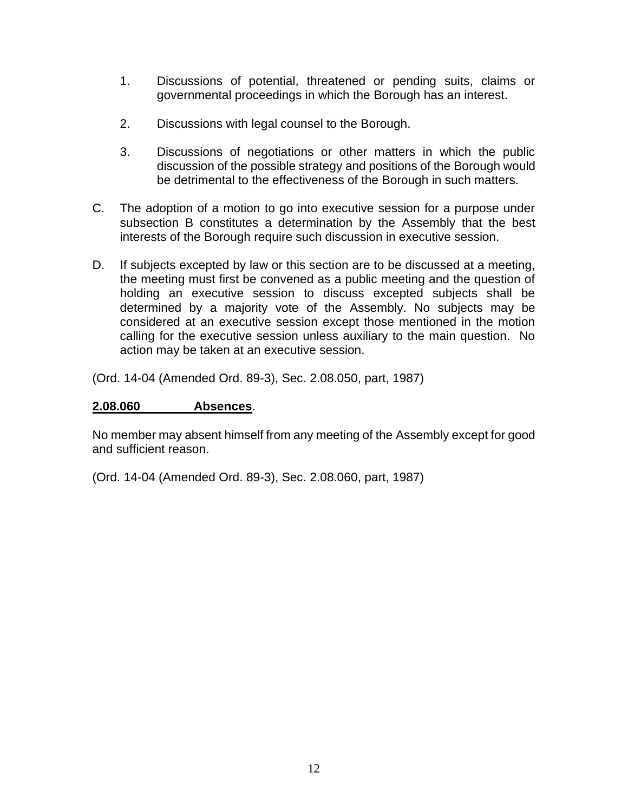- 1. Discussions of potential, threatened or pending suits, claims or governmental proceedings in which the Borough has an interest.
- 2. Discussions with legal counsel to the Borough.
- 3. Discussions of negotiations or other matters in which the public discussion of the possible strategy and positions of the Borough would be detrimental to the effectiveness of the Borough in such matters.
- C. The adoption of a motion to go into executive session for a purpose under subsection B constitutes a determination by the Assembly that the best interests of the Borough require such discussion in executive session.
- D. If subjects excepted by law or this section are to be discussed at a meeting, the meeting must first be convened as a public meeting and the question of holding an executive session to discuss excepted subjects shall be determined by a majority vote of the Assembly. No subjects may be considered at an executive session except those mentioned in the motion calling for the executive session unless auxiliary to the main question. No action may be taken at an executive session.

(Ord. 14-04 (Amended Ord. 89-3), Sec. 2.08.050, part, 1987)

## **2.08.060 Absences**.

No member may absent himself from any meeting of the Assembly except for good and sufficient reason.

(Ord. 14-04 (Amended Ord. 89-3), Sec. 2.08.060, part, 1987)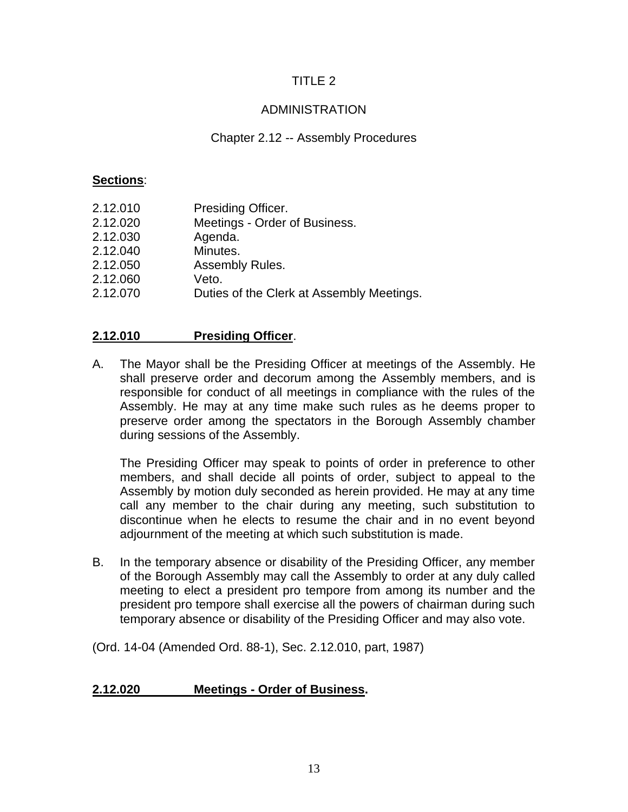### ADMINISTRATION

### Chapter 2.12 -- Assembly Procedures

#### **Sections**:

| 2.12.010<br>Presiding Officer.                        |  |
|-------------------------------------------------------|--|
| Meetings - Order of Business.<br>2.12.020             |  |
| 2.12.030<br>Agenda.                                   |  |
| Minutes.<br>2.12.040                                  |  |
| 2.12.050<br>Assembly Rules.                           |  |
| 2.12.060<br>Veto.                                     |  |
| 2.12.070<br>Duties of the Clerk at Assembly Meetings. |  |

#### **2.12.010 Presiding Officer**.

A. The Mayor shall be the Presiding Officer at meetings of the Assembly. He shall preserve order and decorum among the Assembly members, and is responsible for conduct of all meetings in compliance with the rules of the Assembly. He may at any time make such rules as he deems proper to preserve order among the spectators in the Borough Assembly chamber during sessions of the Assembly.

The Presiding Officer may speak to points of order in preference to other members, and shall decide all points of order, subject to appeal to the Assembly by motion duly seconded as herein provided. He may at any time call any member to the chair during any meeting, such substitution to discontinue when he elects to resume the chair and in no event beyond adjournment of the meeting at which such substitution is made.

B. In the temporary absence or disability of the Presiding Officer, any member of the Borough Assembly may call the Assembly to order at any duly called meeting to elect a president pro tempore from among its number and the president pro tempore shall exercise all the powers of chairman during such temporary absence or disability of the Presiding Officer and may also vote.

(Ord. 14-04 (Amended Ord. 88-1), Sec. 2.12.010, part, 1987)

#### **2.12.020 Meetings - Order of Business.**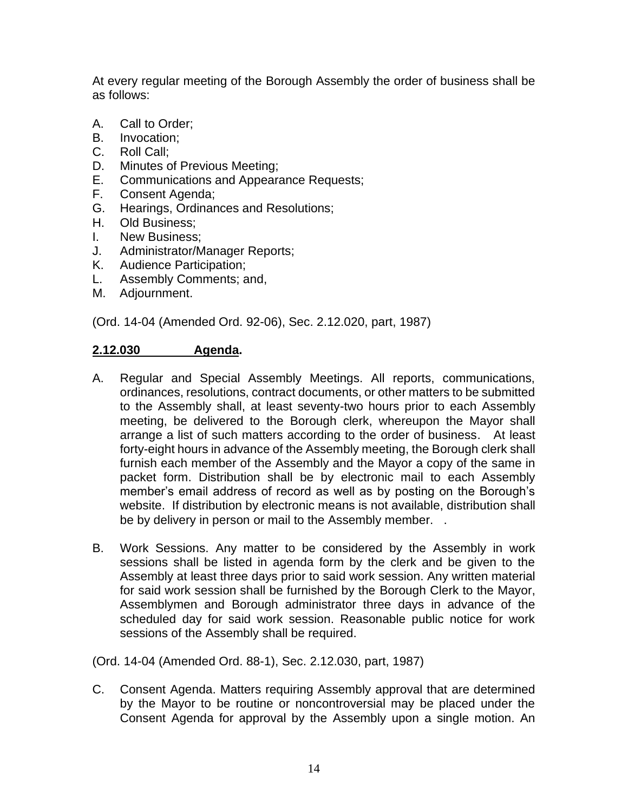At every regular meeting of the Borough Assembly the order of business shall be as follows:

- A. Call to Order;
- B. Invocation;
- C. Roll Call;
- D. Minutes of Previous Meeting;
- E. Communications and Appearance Requests;
- F. Consent Agenda;
- G. Hearings, Ordinances and Resolutions;
- H. Old Business;
- I. New Business;
- J. Administrator/Manager Reports;
- K. Audience Participation;
- L. Assembly Comments; and,
- M. Adjournment.

(Ord. 14-04 (Amended Ord. 92-06), Sec. 2.12.020, part, 1987)

#### **2.12.030 Agenda.**

- A. Regular and Special Assembly Meetings. All reports, communications, ordinances, resolutions, contract documents, or other matters to be submitted to the Assembly shall, at least seventy-two hours prior to each Assembly meeting, be delivered to the Borough clerk, whereupon the Mayor shall arrange a list of such matters according to the order of business. At least forty-eight hours in advance of the Assembly meeting, the Borough clerk shall furnish each member of the Assembly and the Mayor a copy of the same in packet form. Distribution shall be by electronic mail to each Assembly member's email address of record as well as by posting on the Borough's website. If distribution by electronic means is not available, distribution shall be by delivery in person or mail to the Assembly member. .
- B. Work Sessions. Any matter to be considered by the Assembly in work sessions shall be listed in agenda form by the clerk and be given to the Assembly at least three days prior to said work session. Any written material for said work session shall be furnished by the Borough Clerk to the Mayor, Assemblymen and Borough administrator three days in advance of the scheduled day for said work session. Reasonable public notice for work sessions of the Assembly shall be required.

(Ord. 14-04 (Amended Ord. 88-1), Sec. 2.12.030, part, 1987)

C. Consent Agenda. Matters requiring Assembly approval that are determined by the Mayor to be routine or noncontroversial may be placed under the Consent Agenda for approval by the Assembly upon a single motion. An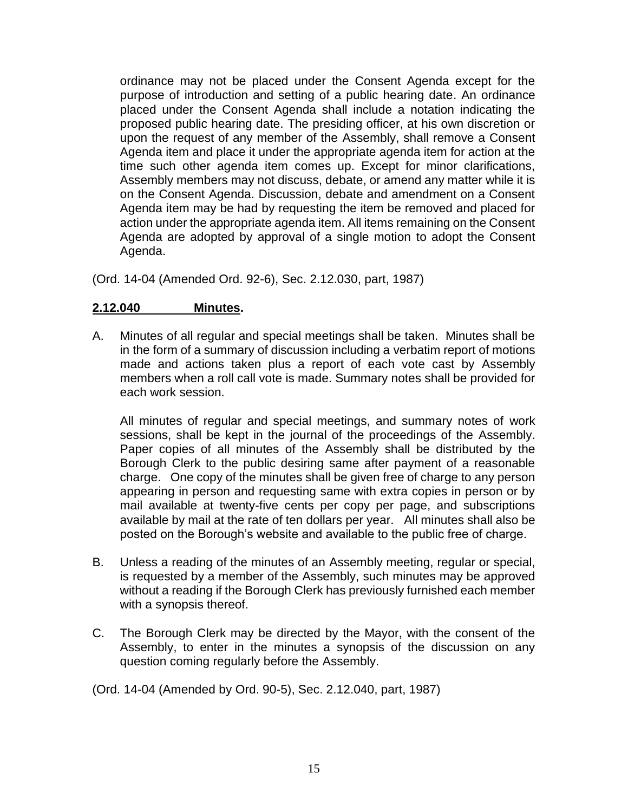ordinance may not be placed under the Consent Agenda except for the purpose of introduction and setting of a public hearing date. An ordinance placed under the Consent Agenda shall include a notation indicating the proposed public hearing date. The presiding officer, at his own discretion or upon the request of any member of the Assembly, shall remove a Consent Agenda item and place it under the appropriate agenda item for action at the time such other agenda item comes up. Except for minor clarifications, Assembly members may not discuss, debate, or amend any matter while it is on the Consent Agenda. Discussion, debate and amendment on a Consent Agenda item may be had by requesting the item be removed and placed for action under the appropriate agenda item. All items remaining on the Consent Agenda are adopted by approval of a single motion to adopt the Consent Agenda.

(Ord. 14-04 (Amended Ord. 92-6), Sec. 2.12.030, part, 1987)

### **2.12.040 Minutes.**

A. Minutes of all regular and special meetings shall be taken. Minutes shall be in the form of a summary of discussion including a verbatim report of motions made and actions taken plus a report of each vote cast by Assembly members when a roll call vote is made. Summary notes shall be provided for each work session.

All minutes of regular and special meetings, and summary notes of work sessions, shall be kept in the journal of the proceedings of the Assembly. Paper copies of all minutes of the Assembly shall be distributed by the Borough Clerk to the public desiring same after payment of a reasonable charge. One copy of the minutes shall be given free of charge to any person appearing in person and requesting same with extra copies in person or by mail available at twenty-five cents per copy per page, and subscriptions available by mail at the rate of ten dollars per year. All minutes shall also be posted on the Borough's website and available to the public free of charge.

- B. Unless a reading of the minutes of an Assembly meeting, regular or special, is requested by a member of the Assembly, such minutes may be approved without a reading if the Borough Clerk has previously furnished each member with a synopsis thereof.
- C. The Borough Clerk may be directed by the Mayor, with the consent of the Assembly, to enter in the minutes a synopsis of the discussion on any question coming regularly before the Assembly.

(Ord. 14-04 (Amended by Ord. 90-5), Sec. 2.12.040, part, 1987)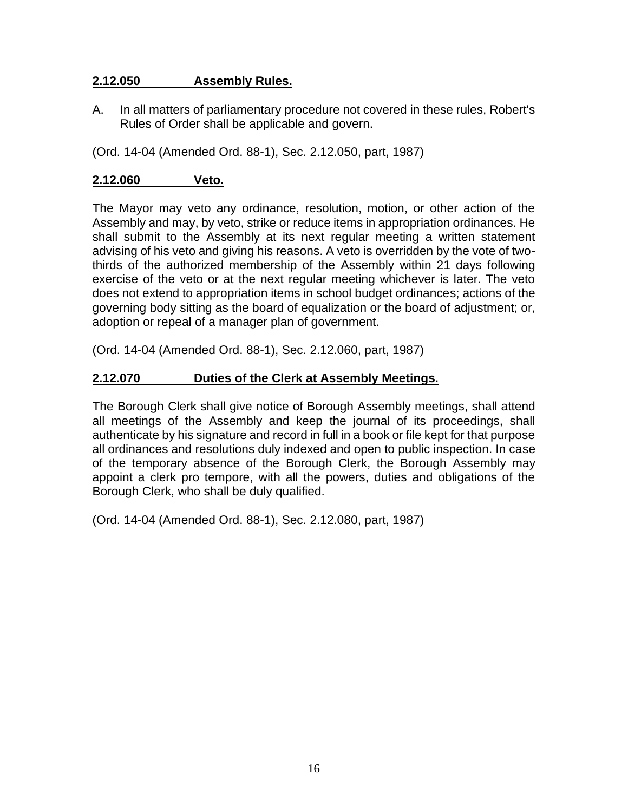### **2.12.050 Assembly Rules.**

A. In all matters of parliamentary procedure not covered in these rules, Robert's Rules of Order shall be applicable and govern.

(Ord. 14-04 (Amended Ord. 88-1), Sec. 2.12.050, part, 1987)

# **2.12.060 Veto.**

The Mayor may veto any ordinance, resolution, motion, or other action of the Assembly and may, by veto, strike or reduce items in appropriation ordinances. He shall submit to the Assembly at its next regular meeting a written statement advising of his veto and giving his reasons. A veto is overridden by the vote of twothirds of the authorized membership of the Assembly within 21 days following exercise of the veto or at the next regular meeting whichever is later. The veto does not extend to appropriation items in school budget ordinances; actions of the governing body sitting as the board of equalization or the board of adjustment; or, adoption or repeal of a manager plan of government.

(Ord. 14-04 (Amended Ord. 88-1), Sec. 2.12.060, part, 1987)

### **2.12.070 Duties of the Clerk at Assembly Meetings.**

The Borough Clerk shall give notice of Borough Assembly meetings, shall attend all meetings of the Assembly and keep the journal of its proceedings, shall authenticate by his signature and record in full in a book or file kept for that purpose all ordinances and resolutions duly indexed and open to public inspection. In case of the temporary absence of the Borough Clerk, the Borough Assembly may appoint a clerk pro tempore, with all the powers, duties and obligations of the Borough Clerk, who shall be duly qualified.

(Ord. 14-04 (Amended Ord. 88-1), Sec. 2.12.080, part, 1987)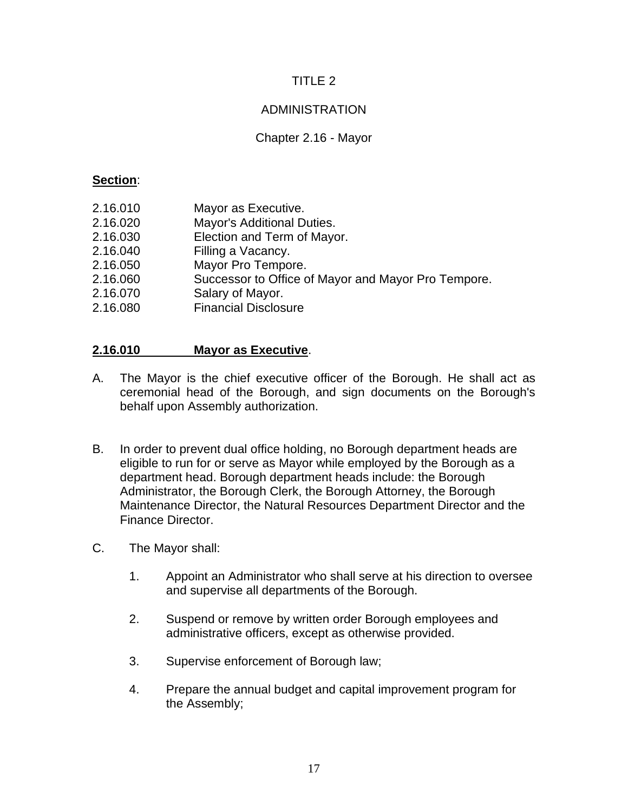# ADMINISTRATION

## Chapter 2.16 - Mayor

#### **Section**:

- 2.16.010 Mayor as Executive.
- 2.16.020 Mayor's Additional Duties.
- 2.16.030 Election and Term of Mayor.
- 2.16.040 Filling a Vacancy.
- 2.16.050 Mayor Pro Tempore.
- 2.16.060 Successor to Office of Mayor and Mayor Pro Tempore.
- 2.16.070 Salary of Mayor.
- 2.16.080 Financial Disclosure

# **2.16.010 Mayor as Executive**.

- A. The Mayor is the chief executive officer of the Borough. He shall act as ceremonial head of the Borough, and sign documents on the Borough's behalf upon Assembly authorization.
- B. In order to prevent dual office holding, no Borough department heads are eligible to run for or serve as Mayor while employed by the Borough as a department head. Borough department heads include: the Borough Administrator, the Borough Clerk, the Borough Attorney, the Borough Maintenance Director, the Natural Resources Department Director and the Finance Director.
- C. The Mayor shall:
	- 1. Appoint an Administrator who shall serve at his direction to oversee and supervise all departments of the Borough.
	- 2. Suspend or remove by written order Borough employees and administrative officers, except as otherwise provided.
	- 3. Supervise enforcement of Borough law;
	- 4. Prepare the annual budget and capital improvement program for the Assembly;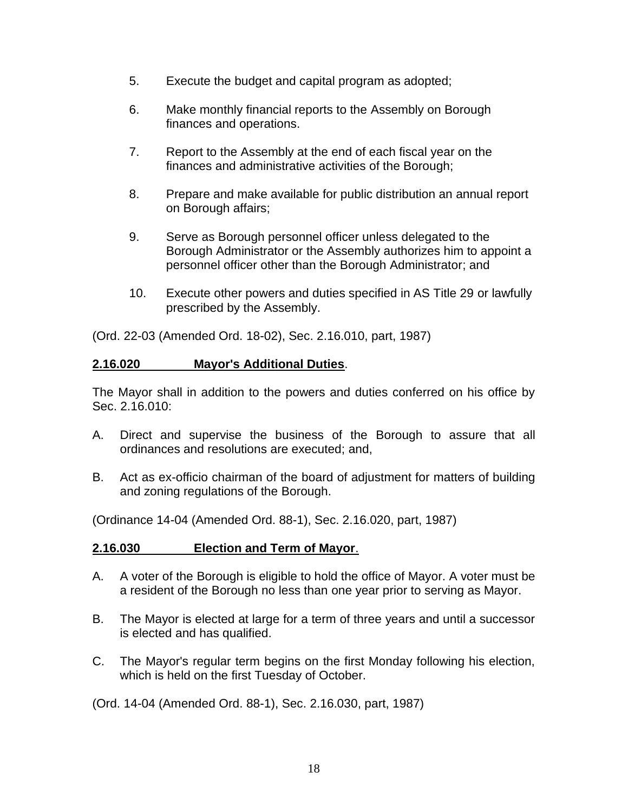- 5. Execute the budget and capital program as adopted;
- 6. Make monthly financial reports to the Assembly on Borough finances and operations.
- 7. Report to the Assembly at the end of each fiscal year on the finances and administrative activities of the Borough;
- 8. Prepare and make available for public distribution an annual report on Borough affairs;
- 9. Serve as Borough personnel officer unless delegated to the Borough Administrator or the Assembly authorizes him to appoint a personnel officer other than the Borough Administrator; and
- 10. Execute other powers and duties specified in AS Title 29 or lawfully prescribed by the Assembly.

(Ord. 22-03 (Amended Ord. 18-02), Sec. 2.16.010, part, 1987)

# **2.16.020 Mayor's Additional Duties**.

The Mayor shall in addition to the powers and duties conferred on his office by Sec. 2.16.010:

- A. Direct and supervise the business of the Borough to assure that all ordinances and resolutions are executed; and,
- B. Act as ex-officio chairman of the board of adjustment for matters of building and zoning regulations of the Borough.

(Ordinance 14-04 (Amended Ord. 88-1), Sec. 2.16.020, part, 1987)

# **2.16.030 Election and Term of Mayor**.

- A. A voter of the Borough is eligible to hold the office of Mayor. A voter must be a resident of the Borough no less than one year prior to serving as Mayor.
- B. The Mayor is elected at large for a term of three years and until a successor is elected and has qualified.
- C. The Mayor's regular term begins on the first Monday following his election, which is held on the first Tuesday of October.

(Ord. 14-04 (Amended Ord. 88-1), Sec. 2.16.030, part, 1987)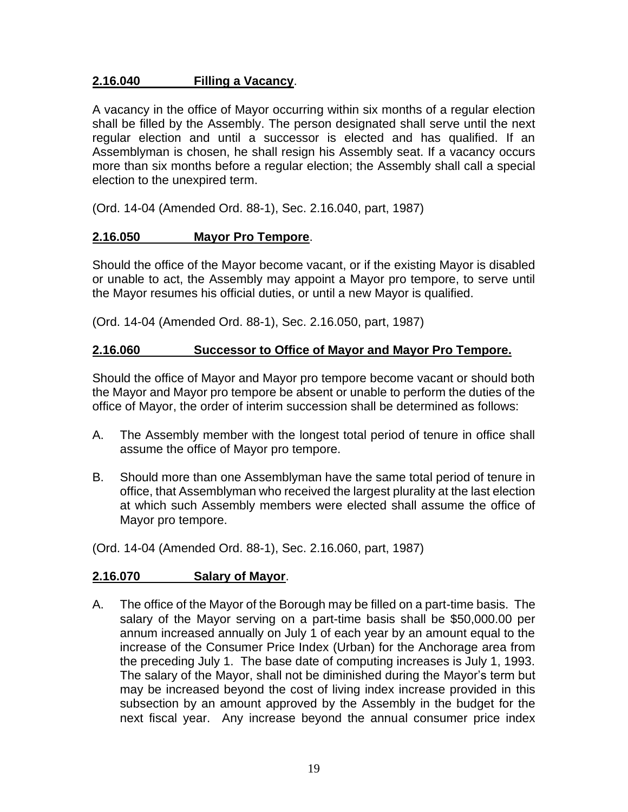### **2.16.040 Filling a Vacancy**.

A vacancy in the office of Mayor occurring within six months of a regular election shall be filled by the Assembly. The person designated shall serve until the next regular election and until a successor is elected and has qualified. If an Assemblyman is chosen, he shall resign his Assembly seat. If a vacancy occurs more than six months before a regular election; the Assembly shall call a special election to the unexpired term.

(Ord. 14-04 (Amended Ord. 88-1), Sec. 2.16.040, part, 1987)

# **2.16.050 Mayor Pro Tempore**.

Should the office of the Mayor become vacant, or if the existing Mayor is disabled or unable to act, the Assembly may appoint a Mayor pro tempore, to serve until the Mayor resumes his official duties, or until a new Mayor is qualified.

(Ord. 14-04 (Amended Ord. 88-1), Sec. 2.16.050, part, 1987)

### **2.16.060 Successor to Office of Mayor and Mayor Pro Tempore.**

Should the office of Mayor and Mayor pro tempore become vacant or should both the Mayor and Mayor pro tempore be absent or unable to perform the duties of the office of Mayor, the order of interim succession shall be determined as follows:

- A. The Assembly member with the longest total period of tenure in office shall assume the office of Mayor pro tempore.
- B. Should more than one Assemblyman have the same total period of tenure in office, that Assemblyman who received the largest plurality at the last election at which such Assembly members were elected shall assume the office of Mayor pro tempore.

(Ord. 14-04 (Amended Ord. 88-1), Sec. 2.16.060, part, 1987)

# **2.16.070 Salary of Mayor**.

A. The office of the Mayor of the Borough may be filled on a part-time basis. The salary of the Mayor serving on a part-time basis shall be \$50,000.00 per annum increased annually on July 1 of each year by an amount equal to the increase of the Consumer Price Index (Urban) for the Anchorage area from the preceding July 1. The base date of computing increases is July 1, 1993. The salary of the Mayor, shall not be diminished during the Mayor's term but may be increased beyond the cost of living index increase provided in this subsection by an amount approved by the Assembly in the budget for the next fiscal year. Any increase beyond the annual consumer price index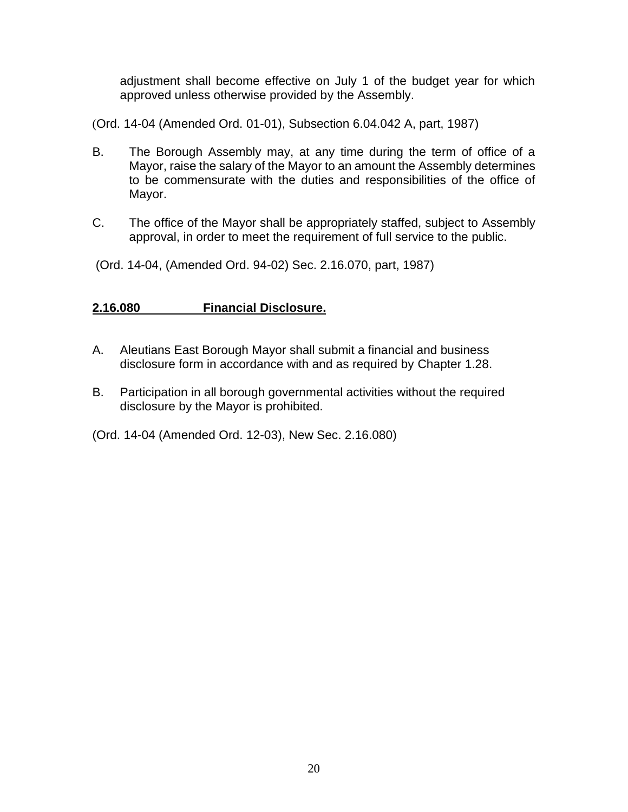adjustment shall become effective on July 1 of the budget year for which approved unless otherwise provided by the Assembly.

(Ord. 14-04 (Amended Ord. 01-01), Subsection 6.04.042 A, part, 1987)

- B. The Borough Assembly may, at any time during the term of office of a Mayor, raise the salary of the Mayor to an amount the Assembly determines to be commensurate with the duties and responsibilities of the office of Mayor.
- C. The office of the Mayor shall be appropriately staffed, subject to Assembly approval, in order to meet the requirement of full service to the public.

(Ord. 14-04, (Amended Ord. 94-02) Sec. 2.16.070, part, 1987)

# **2.16.080 Financial Disclosure.**

- A. Aleutians East Borough Mayor shall submit a financial and business disclosure form in accordance with and as required by Chapter 1.28.
- B. Participation in all borough governmental activities without the required disclosure by the Mayor is prohibited.

(Ord. 14-04 (Amended Ord. 12-03), New Sec. 2.16.080)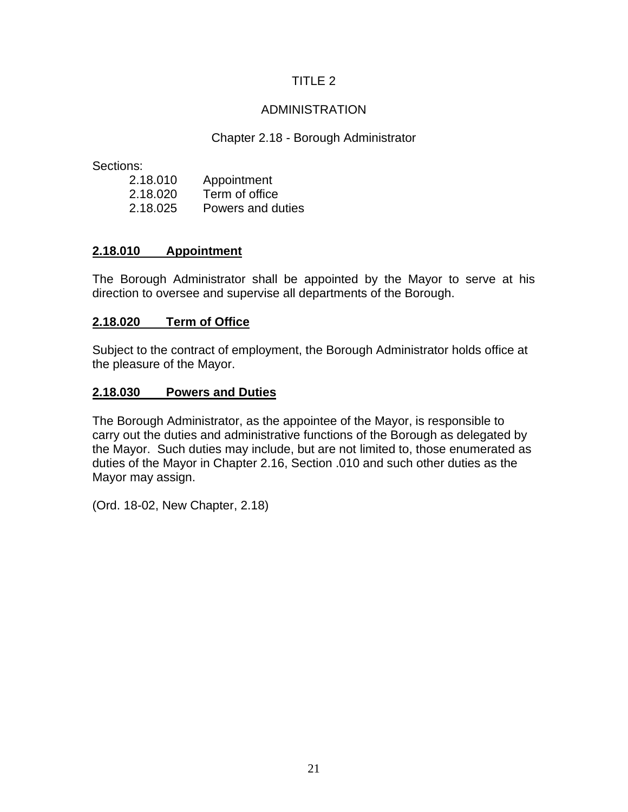### ADMINISTRATION

### Chapter 2.18 - Borough Administrator

Sections:

| 2.18.010 | Appointment       |
|----------|-------------------|
| 2.18.020 | Term of office    |
| 2.18.025 | Powers and duties |

### **2.18.010 Appointment**

The Borough Administrator shall be appointed by the Mayor to serve at his direction to oversee and supervise all departments of the Borough.

#### **2.18.020 Term of Office**

Subject to the contract of employment, the Borough Administrator holds office at the pleasure of the Mayor.

#### **2.18.030 Powers and Duties**

The Borough Administrator, as the appointee of the Mayor, is responsible to carry out the duties and administrative functions of the Borough as delegated by the Mayor. Such duties may include, but are not limited to, those enumerated as duties of the Mayor in Chapter 2.16, Section .010 and such other duties as the Mayor may assign.

(Ord. 18-02, New Chapter, 2.18)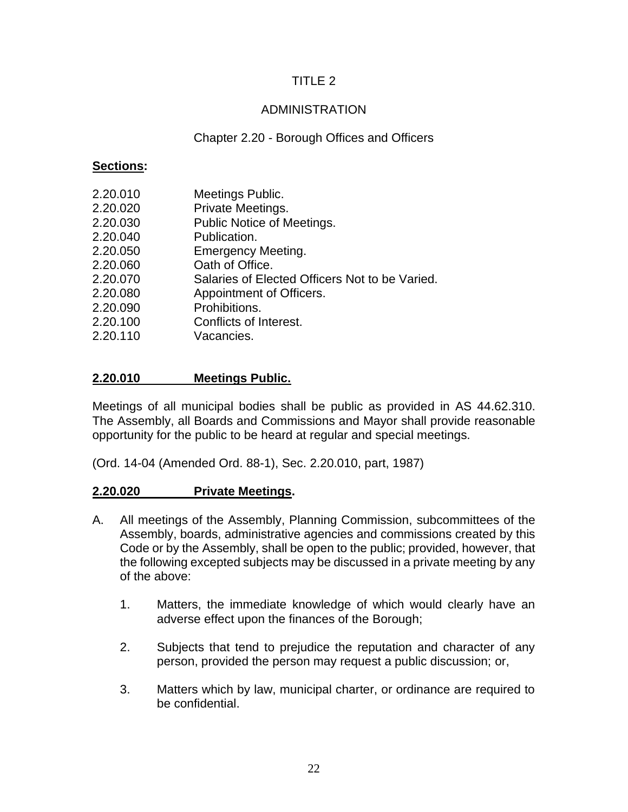### ADMINISTRATION

### Chapter 2.20 - Borough Offices and Officers

#### **Sections:**

| 2.20.010 | Meetings Public.                               |
|----------|------------------------------------------------|
| 2.20.020 | Private Meetings.                              |
| 2.20.030 | Public Notice of Meetings.                     |
| 2.20.040 | Publication.                                   |
| 2.20.050 | <b>Emergency Meeting.</b>                      |
| 2.20.060 | Oath of Office.                                |
| 2.20.070 | Salaries of Elected Officers Not to be Varied. |
| 2.20.080 | Appointment of Officers.                       |
| 2.20.090 | Prohibitions.                                  |
| 2.20.100 | Conflicts of Interest.                         |
| 2.20.110 | Vacancies.                                     |
|          |                                                |

#### **2.20.010 Meetings Public.**

Meetings of all municipal bodies shall be public as provided in AS 44.62.310. The Assembly, all Boards and Commissions and Mayor shall provide reasonable opportunity for the public to be heard at regular and special meetings.

(Ord. 14-04 (Amended Ord. 88-1), Sec. 2.20.010, part, 1987)

#### **2.20.020 Private Meetings.**

- A. All meetings of the Assembly, Planning Commission, subcommittees of the Assembly, boards, administrative agencies and commissions created by this Code or by the Assembly, shall be open to the public; provided, however, that the following excepted subjects may be discussed in a private meeting by any of the above:
	- 1. Matters, the immediate knowledge of which would clearly have an adverse effect upon the finances of the Borough;
	- 2. Subjects that tend to prejudice the reputation and character of any person, provided the person may request a public discussion; or,
	- 3. Matters which by law, municipal charter, or ordinance are required to be confidential.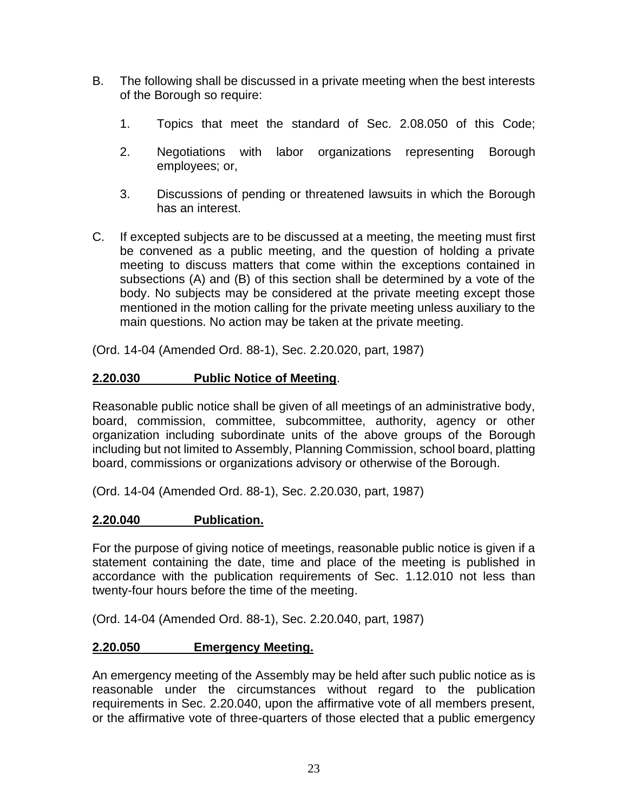- B. The following shall be discussed in a private meeting when the best interests of the Borough so require:
	- 1. Topics that meet the standard of Sec. 2.08.050 of this Code;
	- 2. Negotiations with labor organizations representing Borough employees; or,
	- 3. Discussions of pending or threatened lawsuits in which the Borough has an interest.
- C. If excepted subjects are to be discussed at a meeting, the meeting must first be convened as a public meeting, and the question of holding a private meeting to discuss matters that come within the exceptions contained in subsections (A) and (B) of this section shall be determined by a vote of the body. No subjects may be considered at the private meeting except those mentioned in the motion calling for the private meeting unless auxiliary to the main questions. No action may be taken at the private meeting.

(Ord. 14-04 (Amended Ord. 88-1), Sec. 2.20.020, part, 1987)

# **2.20.030 Public Notice of Meeting**.

Reasonable public notice shall be given of all meetings of an administrative body, board, commission, committee, subcommittee, authority, agency or other organization including subordinate units of the above groups of the Borough including but not limited to Assembly, Planning Commission, school board, platting board, commissions or organizations advisory or otherwise of the Borough.

(Ord. 14-04 (Amended Ord. 88-1), Sec. 2.20.030, part, 1987)

# **2.20.040 Publication.**

For the purpose of giving notice of meetings, reasonable public notice is given if a statement containing the date, time and place of the meeting is published in accordance with the publication requirements of Sec. 1.12.010 not less than twenty-four hours before the time of the meeting.

(Ord. 14-04 (Amended Ord. 88-1), Sec. 2.20.040, part, 1987)

# **2.20.050 Emergency Meeting.**

An emergency meeting of the Assembly may be held after such public notice as is reasonable under the circumstances without regard to the publication requirements in Sec. 2.20.040, upon the affirmative vote of all members present, or the affirmative vote of three-quarters of those elected that a public emergency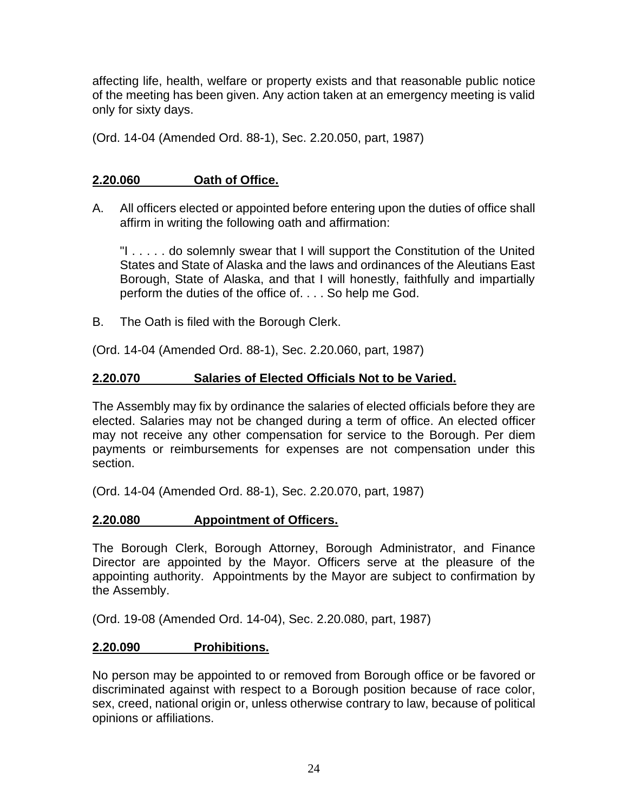affecting life, health, welfare or property exists and that reasonable public notice of the meeting has been given. Any action taken at an emergency meeting is valid only for sixty days.

(Ord. 14-04 (Amended Ord. 88-1), Sec. 2.20.050, part, 1987)

# **2.20.060 Oath of Office.**

A. All officers elected or appointed before entering upon the duties of office shall affirm in writing the following oath and affirmation:

"I . . . . . do solemnly swear that I will support the Constitution of the United States and State of Alaska and the laws and ordinances of the Aleutians East Borough, State of Alaska, and that I will honestly, faithfully and impartially perform the duties of the office of. . . . So help me God.

B. The Oath is filed with the Borough Clerk.

(Ord. 14-04 (Amended Ord. 88-1), Sec. 2.20.060, part, 1987)

# **2.20.070 Salaries of Elected Officials Not to be Varied.**

The Assembly may fix by ordinance the salaries of elected officials before they are elected. Salaries may not be changed during a term of office. An elected officer may not receive any other compensation for service to the Borough. Per diem payments or reimbursements for expenses are not compensation under this section.

(Ord. 14-04 (Amended Ord. 88-1), Sec. 2.20.070, part, 1987)

# **2.20.080 Appointment of Officers.**

The Borough Clerk, Borough Attorney, Borough Administrator, and Finance Director are appointed by the Mayor. Officers serve at the pleasure of the appointing authority. Appointments by the Mayor are subject to confirmation by the Assembly.

(Ord. 19-08 (Amended Ord. 14-04), Sec. 2.20.080, part, 1987)

# **2.20.090 Prohibitions.**

No person may be appointed to or removed from Borough office or be favored or discriminated against with respect to a Borough position because of race color, sex, creed, national origin or, unless otherwise contrary to law, because of political opinions or affiliations.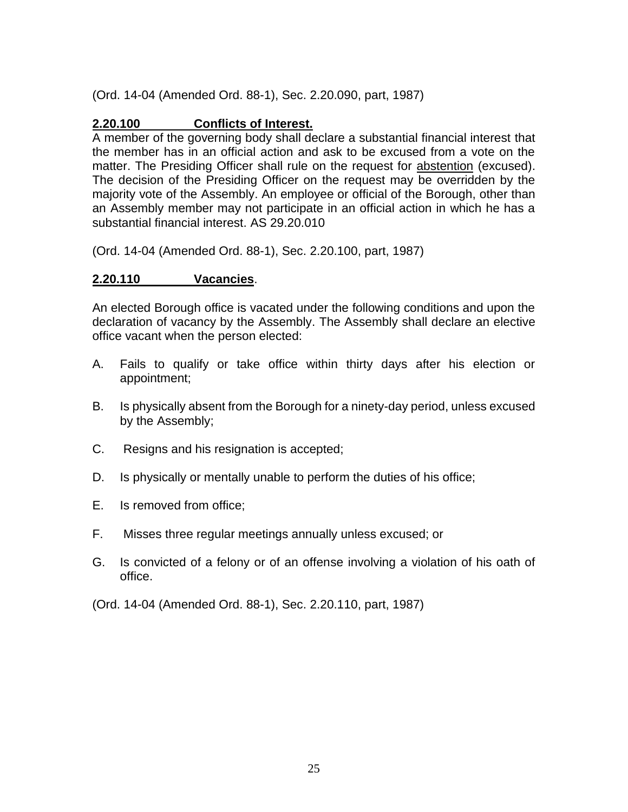(Ord. 14-04 (Amended Ord. 88-1), Sec. 2.20.090, part, 1987)

#### **2.20.100 Conflicts of Interest.**

A member of the governing body shall declare a substantial financial interest that the member has in an official action and ask to be excused from a vote on the matter. The Presiding Officer shall rule on the request for abstention (excused). The decision of the Presiding Officer on the request may be overridden by the majority vote of the Assembly. An employee or official of the Borough, other than an Assembly member may not participate in an official action in which he has a substantial financial interest. AS 29.20.010

(Ord. 14-04 (Amended Ord. 88-1), Sec. 2.20.100, part, 1987)

### **2.20.110 Vacancies**.

An elected Borough office is vacated under the following conditions and upon the declaration of vacancy by the Assembly. The Assembly shall declare an elective office vacant when the person elected:

- A. Fails to qualify or take office within thirty days after his election or appointment;
- B. Is physically absent from the Borough for a ninety-day period, unless excused by the Assembly;
- C. Resigns and his resignation is accepted;
- D. Is physically or mentally unable to perform the duties of his office;
- E. Is removed from office;
- F. Misses three regular meetings annually unless excused; or
- G. Is convicted of a felony or of an offense involving a violation of his oath of office.

(Ord. 14-04 (Amended Ord. 88-1), Sec. 2.20.110, part, 1987)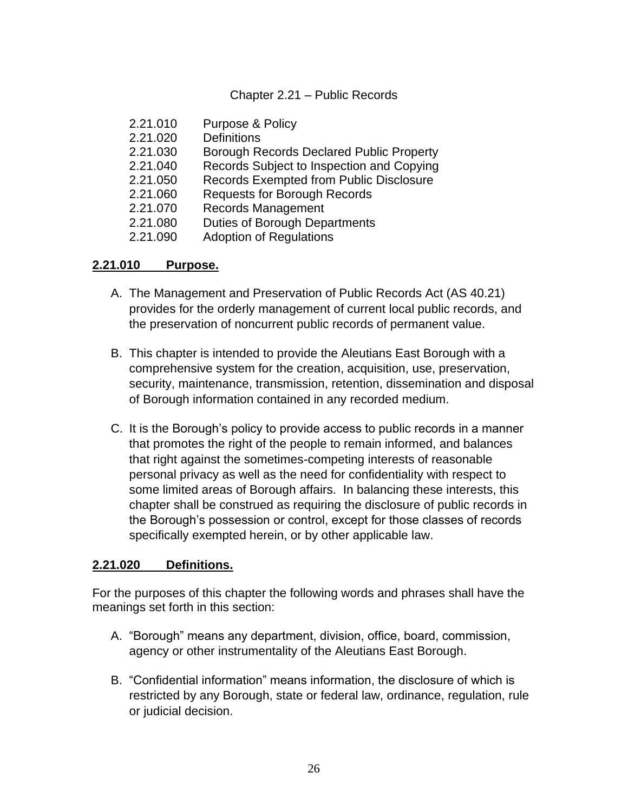#### Chapter 2.21 – Public Records

- 2.21.010 Purpose & Policy
- 2.21.020 Definitions
- 2.21.030 Borough Records Declared Public Property
- 2.21.040 Records Subject to Inspection and Copying
- 2.21.050 Records Exempted from Public Disclosure
- 2.21.060 Requests for Borough Records
- 2.21.070 Records Management
- 2.21.080 Duties of Borough Departments
- 2.21.090 Adoption of Regulations

# **2.21.010 Purpose.**

- A. The Management and Preservation of Public Records Act (AS 40.21) provides for the orderly management of current local public records, and the preservation of noncurrent public records of permanent value.
- B. This chapter is intended to provide the Aleutians East Borough with a comprehensive system for the creation, acquisition, use, preservation, security, maintenance, transmission, retention, dissemination and disposal of Borough information contained in any recorded medium.
- C. It is the Borough's policy to provide access to public records in a manner that promotes the right of the people to remain informed, and balances that right against the sometimes-competing interests of reasonable personal privacy as well as the need for confidentiality with respect to some limited areas of Borough affairs. In balancing these interests, this chapter shall be construed as requiring the disclosure of public records in the Borough's possession or control, except for those classes of records specifically exempted herein, or by other applicable law.

# **2.21.020 Definitions.**

For the purposes of this chapter the following words and phrases shall have the meanings set forth in this section:

- A. "Borough" means any department, division, office, board, commission, agency or other instrumentality of the Aleutians East Borough.
- B. "Confidential information" means information, the disclosure of which is restricted by any Borough, state or federal law, ordinance, regulation, rule or judicial decision.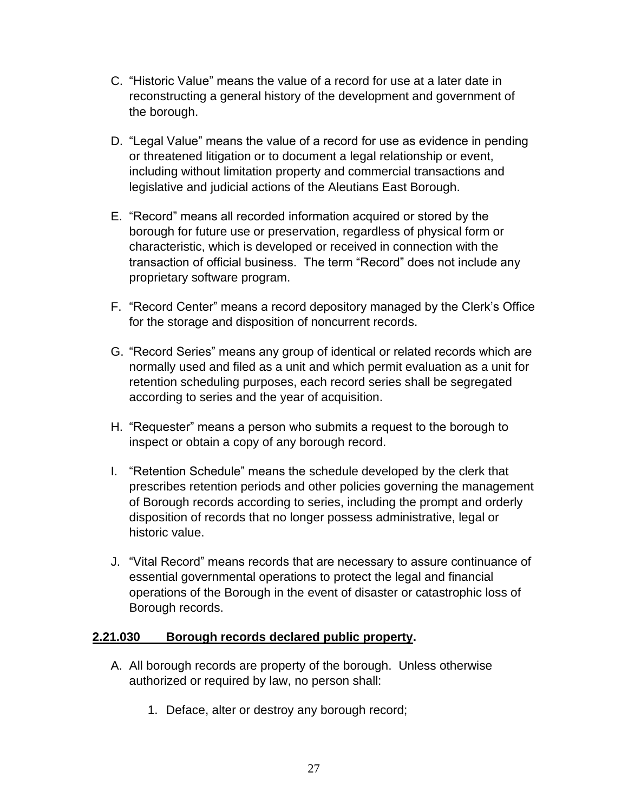- C. "Historic Value" means the value of a record for use at a later date in reconstructing a general history of the development and government of the borough.
- D. "Legal Value" means the value of a record for use as evidence in pending or threatened litigation or to document a legal relationship or event, including without limitation property and commercial transactions and legislative and judicial actions of the Aleutians East Borough.
- E. "Record" means all recorded information acquired or stored by the borough for future use or preservation, regardless of physical form or characteristic, which is developed or received in connection with the transaction of official business. The term "Record" does not include any proprietary software program.
- F. "Record Center" means a record depository managed by the Clerk's Office for the storage and disposition of noncurrent records.
- G. "Record Series" means any group of identical or related records which are normally used and filed as a unit and which permit evaluation as a unit for retention scheduling purposes, each record series shall be segregated according to series and the year of acquisition.
- H. "Requester" means a person who submits a request to the borough to inspect or obtain a copy of any borough record.
- I. "Retention Schedule" means the schedule developed by the clerk that prescribes retention periods and other policies governing the management of Borough records according to series, including the prompt and orderly disposition of records that no longer possess administrative, legal or historic value.
- J. "Vital Record" means records that are necessary to assure continuance of essential governmental operations to protect the legal and financial operations of the Borough in the event of disaster or catastrophic loss of Borough records.

# **2.21.030 Borough records declared public property.**

- A. All borough records are property of the borough. Unless otherwise authorized or required by law, no person shall:
	- 1. Deface, alter or destroy any borough record;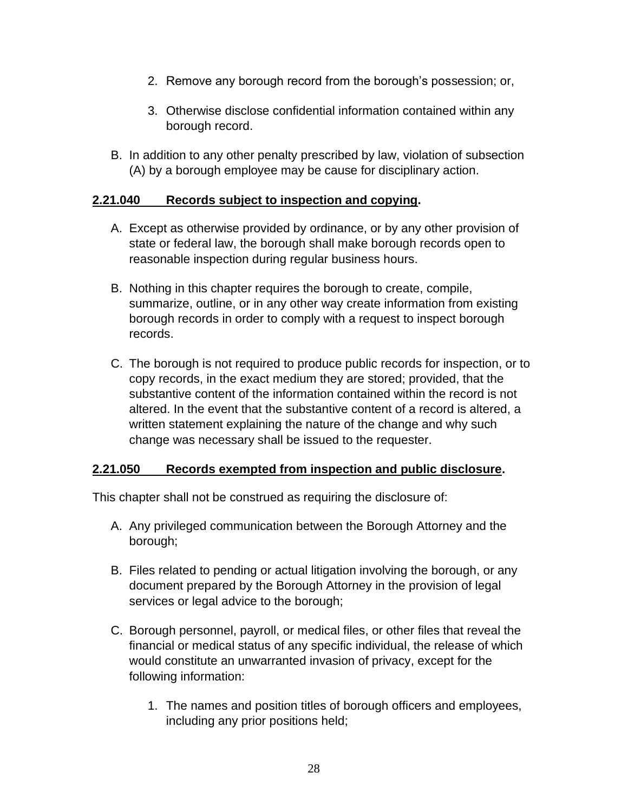- 2. Remove any borough record from the borough's possession; or,
- 3. Otherwise disclose confidential information contained within any borough record.
- B. In addition to any other penalty prescribed by law, violation of subsection (A) by a borough employee may be cause for disciplinary action.

### **2.21.040 Records subject to inspection and copying.**

- A. Except as otherwise provided by ordinance, or by any other provision of state or federal law, the borough shall make borough records open to reasonable inspection during regular business hours.
- B. Nothing in this chapter requires the borough to create, compile, summarize, outline, or in any other way create information from existing borough records in order to comply with a request to inspect borough records.
- C. The borough is not required to produce public records for inspection, or to copy records, in the exact medium they are stored; provided, that the substantive content of the information contained within the record is not altered. In the event that the substantive content of a record is altered, a written statement explaining the nature of the change and why such change was necessary shall be issued to the requester.

# **2.21.050 Records exempted from inspection and public disclosure.**

This chapter shall not be construed as requiring the disclosure of:

- A. Any privileged communication between the Borough Attorney and the borough;
- B. Files related to pending or actual litigation involving the borough, or any document prepared by the Borough Attorney in the provision of legal services or legal advice to the borough;
- C. Borough personnel, payroll, or medical files, or other files that reveal the financial or medical status of any specific individual, the release of which would constitute an unwarranted invasion of privacy, except for the following information:
	- 1. The names and position titles of borough officers and employees, including any prior positions held;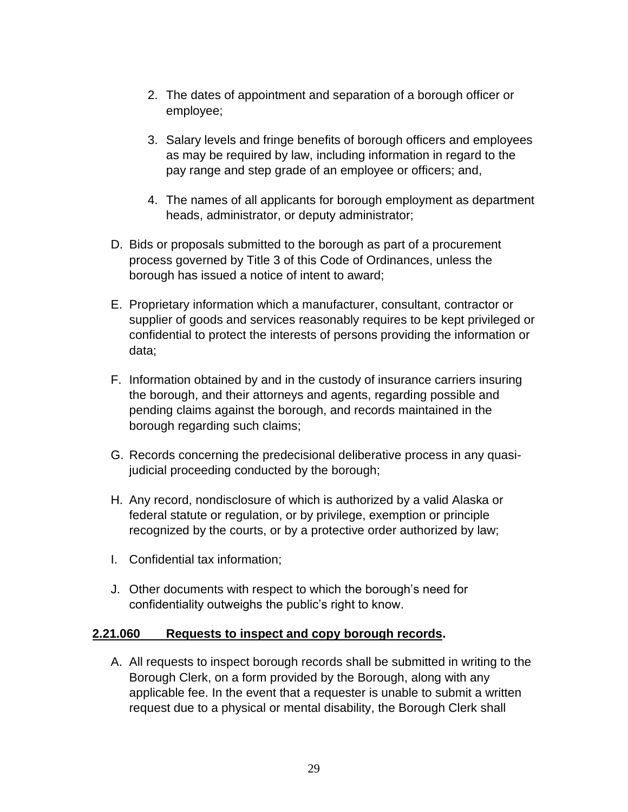- 2. The dates of appointment and separation of a borough officer or employee;
- 3. Salary levels and fringe benefits of borough officers and employees as may be required by law, including information in regard to the pay range and step grade of an employee or officers; and,
- 4. The names of all applicants for borough employment as department heads, administrator, or deputy administrator;
- D. Bids or proposals submitted to the borough as part of a procurement process governed by Title 3 of this Code of Ordinances, unless the borough has issued a notice of intent to award;
- E. Proprietary information which a manufacturer, consultant, contractor or supplier of goods and services reasonably requires to be kept privileged or confidential to protect the interests of persons providing the information or data;
- F. Information obtained by and in the custody of insurance carriers insuring the borough, and their attorneys and agents, regarding possible and pending claims against the borough, and records maintained in the borough regarding such claims;
- G. Records concerning the predecisional deliberative process in any quasijudicial proceeding conducted by the borough;
- H. Any record, nondisclosure of which is authorized by a valid Alaska or federal statute or regulation, or by privilege, exemption or principle recognized by the courts, or by a protective order authorized by law;
- I. Confidential tax information;
- J. Other documents with respect to which the borough's need for confidentiality outweighs the public's right to know.

#### **2.21.060 Requests to inspect and copy borough records.**

A. All requests to inspect borough records shall be submitted in writing to the Borough Clerk, on a form provided by the Borough, along with any applicable fee. In the event that a requester is unable to submit a written request due to a physical or mental disability, the Borough Clerk shall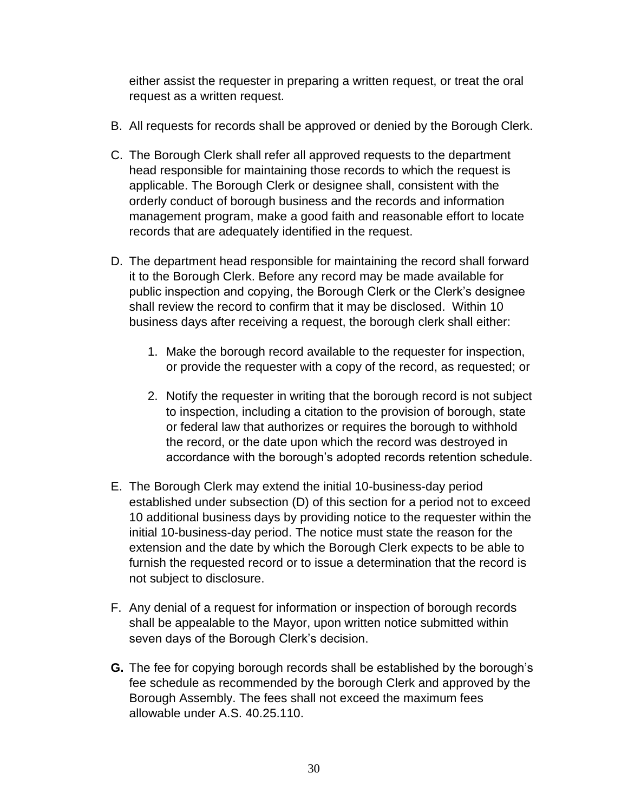either assist the requester in preparing a written request, or treat the oral request as a written request.

- B. All requests for records shall be approved or denied by the Borough Clerk.
- C. The Borough Clerk shall refer all approved requests to the department head responsible for maintaining those records to which the request is applicable. The Borough Clerk or designee shall, consistent with the orderly conduct of borough business and the records and information management program, make a good faith and reasonable effort to locate records that are adequately identified in the request.
- D. The department head responsible for maintaining the record shall forward it to the Borough Clerk. Before any record may be made available for public inspection and copying, the Borough Clerk or the Clerk's designee shall review the record to confirm that it may be disclosed. Within 10 business days after receiving a request, the borough clerk shall either:
	- 1. Make the borough record available to the requester for inspection, or provide the requester with a copy of the record, as requested; or
	- 2. Notify the requester in writing that the borough record is not subject to inspection, including a citation to the provision of borough, state or federal law that authorizes or requires the borough to withhold the record, or the date upon which the record was destroyed in accordance with the borough's adopted records retention schedule.
- E. The Borough Clerk may extend the initial 10-business-day period established under subsection (D) of this section for a period not to exceed 10 additional business days by providing notice to the requester within the initial 10-business-day period. The notice must state the reason for the extension and the date by which the Borough Clerk expects to be able to furnish the requested record or to issue a determination that the record is not subject to disclosure.
- F. Any denial of a request for information or inspection of borough records shall be appealable to the Mayor, upon written notice submitted within seven days of the Borough Clerk's decision.
- **G.** The fee for copying borough records shall be established by the borough's fee schedule as recommended by the borough Clerk and approved by the Borough Assembly. The fees shall not exceed the maximum fees allowable under A.S. 40.25.110.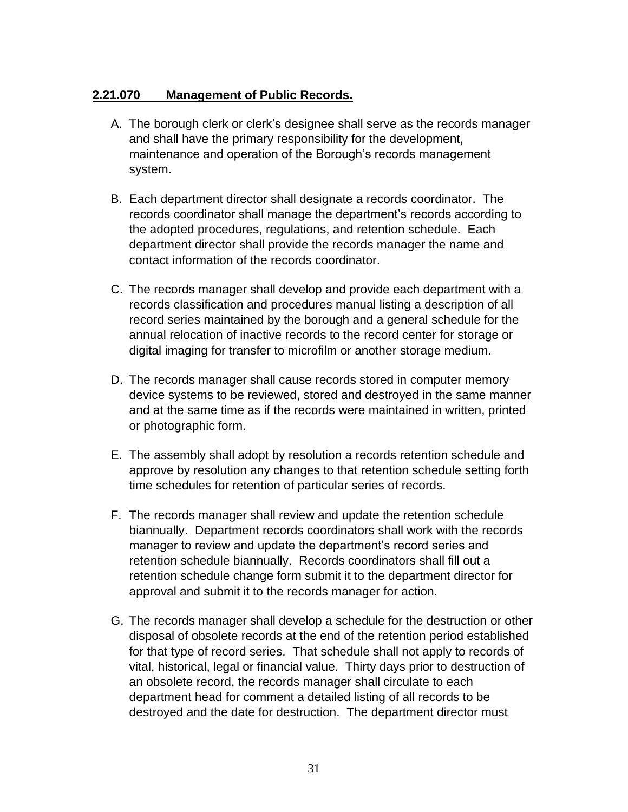## **2.21.070 Management of Public Records.**

- A. The borough clerk or clerk's designee shall serve as the records manager and shall have the primary responsibility for the development, maintenance and operation of the Borough's records management system.
- B. Each department director shall designate a records coordinator. The records coordinator shall manage the department's records according to the adopted procedures, regulations, and retention schedule. Each department director shall provide the records manager the name and contact information of the records coordinator.
- C. The records manager shall develop and provide each department with a records classification and procedures manual listing a description of all record series maintained by the borough and a general schedule for the annual relocation of inactive records to the record center for storage or digital imaging for transfer to microfilm or another storage medium.
- D. The records manager shall cause records stored in computer memory device systems to be reviewed, stored and destroyed in the same manner and at the same time as if the records were maintained in written, printed or photographic form.
- E. The assembly shall adopt by resolution a records retention schedule and approve by resolution any changes to that retention schedule setting forth time schedules for retention of particular series of records.
- F. The records manager shall review and update the retention schedule biannually. Department records coordinators shall work with the records manager to review and update the department's record series and retention schedule biannually. Records coordinators shall fill out a retention schedule change form submit it to the department director for approval and submit it to the records manager for action.
- G. The records manager shall develop a schedule for the destruction or other disposal of obsolete records at the end of the retention period established for that type of record series. That schedule shall not apply to records of vital, historical, legal or financial value. Thirty days prior to destruction of an obsolete record, the records manager shall circulate to each department head for comment a detailed listing of all records to be destroyed and the date for destruction. The department director must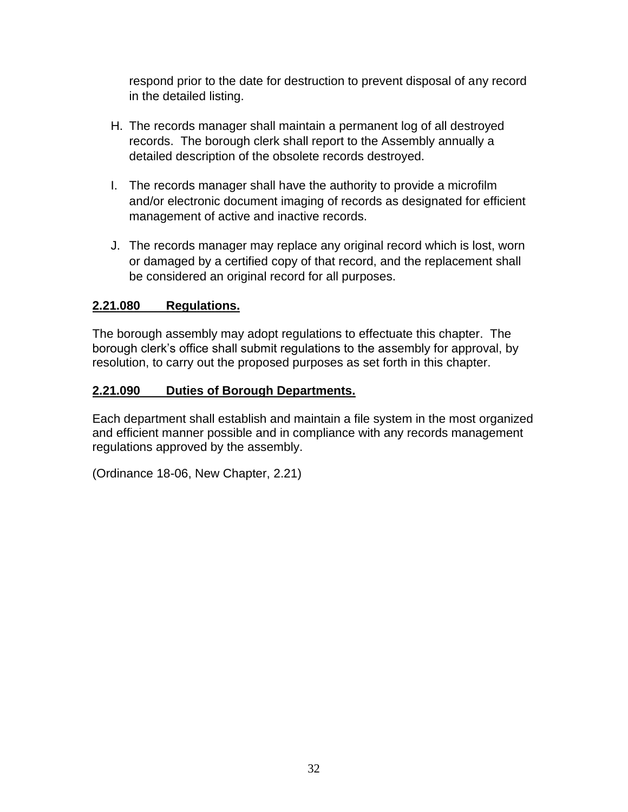respond prior to the date for destruction to prevent disposal of any record in the detailed listing.

- H. The records manager shall maintain a permanent log of all destroyed records. The borough clerk shall report to the Assembly annually a detailed description of the obsolete records destroyed.
- I. The records manager shall have the authority to provide a microfilm and/or electronic document imaging of records as designated for efficient management of active and inactive records.
- J. The records manager may replace any original record which is lost, worn or damaged by a certified copy of that record, and the replacement shall be considered an original record for all purposes.

# **2.21.080 Regulations.**

The borough assembly may adopt regulations to effectuate this chapter. The borough clerk's office shall submit regulations to the assembly for approval, by resolution, to carry out the proposed purposes as set forth in this chapter.

### **2.21.090 Duties of Borough Departments.**

Each department shall establish and maintain a file system in the most organized and efficient manner possible and in compliance with any records management regulations approved by the assembly.

(Ordinance 18-06, New Chapter, 2.21)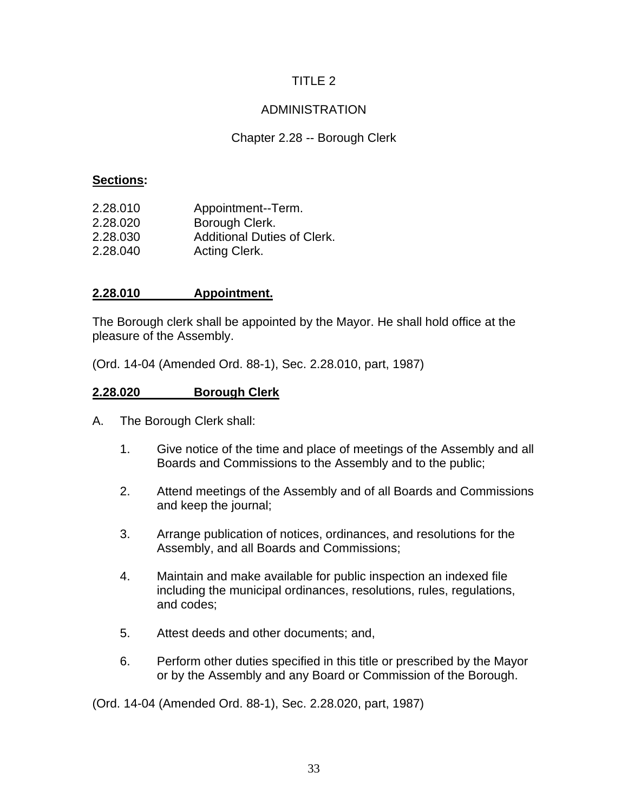# ADMINISTRATION

# Chapter 2.28 -- Borough Clerk

#### **Sections:**

| 2.28.010 | Appointment--Term.                 |
|----------|------------------------------------|
| 2.28.020 | Borough Clerk.                     |
| 2.28.030 | <b>Additional Duties of Clerk.</b> |
| 2.28.040 | Acting Clerk.                      |

### **2.28.010 Appointment.**

The Borough clerk shall be appointed by the Mayor. He shall hold office at the pleasure of the Assembly.

(Ord. 14-04 (Amended Ord. 88-1), Sec. 2.28.010, part, 1987)

### **2.28.020 Borough Clerk**

- A. The Borough Clerk shall:
	- 1. Give notice of the time and place of meetings of the Assembly and all Boards and Commissions to the Assembly and to the public;
	- 2. Attend meetings of the Assembly and of all Boards and Commissions and keep the journal;
	- 3. Arrange publication of notices, ordinances, and resolutions for the Assembly, and all Boards and Commissions;
	- 4. Maintain and make available for public inspection an indexed file including the municipal ordinances, resolutions, rules, regulations, and codes;
	- 5. Attest deeds and other documents; and,
	- 6. Perform other duties specified in this title or prescribed by the Mayor or by the Assembly and any Board or Commission of the Borough.

(Ord. 14-04 (Amended Ord. 88-1), Sec. 2.28.020, part, 1987)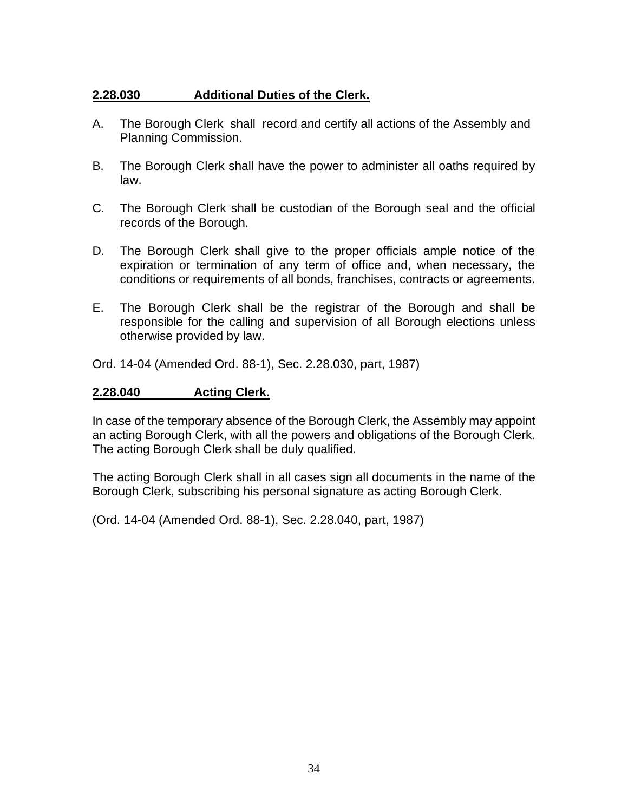# **2.28.030 Additional Duties of the Clerk.**

- A. The Borough Clerk shall record and certify all actions of the Assembly and Planning Commission.
- B. The Borough Clerk shall have the power to administer all oaths required by law.
- C. The Borough Clerk shall be custodian of the Borough seal and the official records of the Borough.
- D. The Borough Clerk shall give to the proper officials ample notice of the expiration or termination of any term of office and, when necessary, the conditions or requirements of all bonds, franchises, contracts or agreements.
- E. The Borough Clerk shall be the registrar of the Borough and shall be responsible for the calling and supervision of all Borough elections unless otherwise provided by law.

Ord. 14-04 (Amended Ord. 88-1), Sec. 2.28.030, part, 1987)

#### **2.28.040 Acting Clerk.**

In case of the temporary absence of the Borough Clerk, the Assembly may appoint an acting Borough Clerk, with all the powers and obligations of the Borough Clerk. The acting Borough Clerk shall be duly qualified.

The acting Borough Clerk shall in all cases sign all documents in the name of the Borough Clerk, subscribing his personal signature as acting Borough Clerk.

(Ord. 14-04 (Amended Ord. 88-1), Sec. 2.28.040, part, 1987)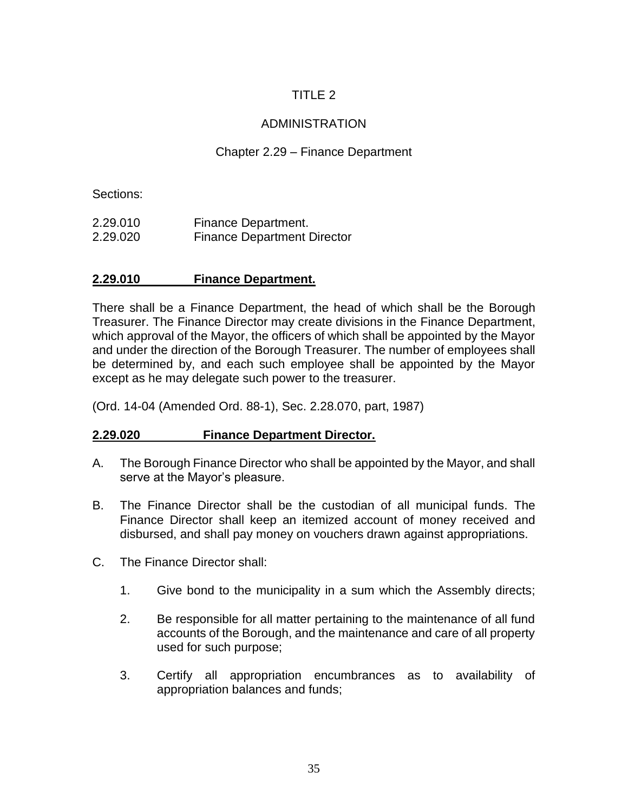# ADMINISTRATION

### Chapter 2.29 – Finance Department

Sections:

2.29.010 Finance Department. 2.29.020 Finance Department Director

#### **2.29.010 Finance Department.**

There shall be a Finance Department, the head of which shall be the Borough Treasurer. The Finance Director may create divisions in the Finance Department, which approval of the Mayor, the officers of which shall be appointed by the Mayor and under the direction of the Borough Treasurer. The number of employees shall be determined by, and each such employee shall be appointed by the Mayor except as he may delegate such power to the treasurer.

(Ord. 14-04 (Amended Ord. 88-1), Sec. 2.28.070, part, 1987)

#### **2.29.020 Finance Department Director.**

- A. The Borough Finance Director who shall be appointed by the Mayor, and shall serve at the Mayor's pleasure.
- B. The Finance Director shall be the custodian of all municipal funds. The Finance Director shall keep an itemized account of money received and disbursed, and shall pay money on vouchers drawn against appropriations.
- C. The Finance Director shall:
	- 1. Give bond to the municipality in a sum which the Assembly directs;
	- 2. Be responsible for all matter pertaining to the maintenance of all fund accounts of the Borough, and the maintenance and care of all property used for such purpose;
	- 3. Certify all appropriation encumbrances as to availability of appropriation balances and funds;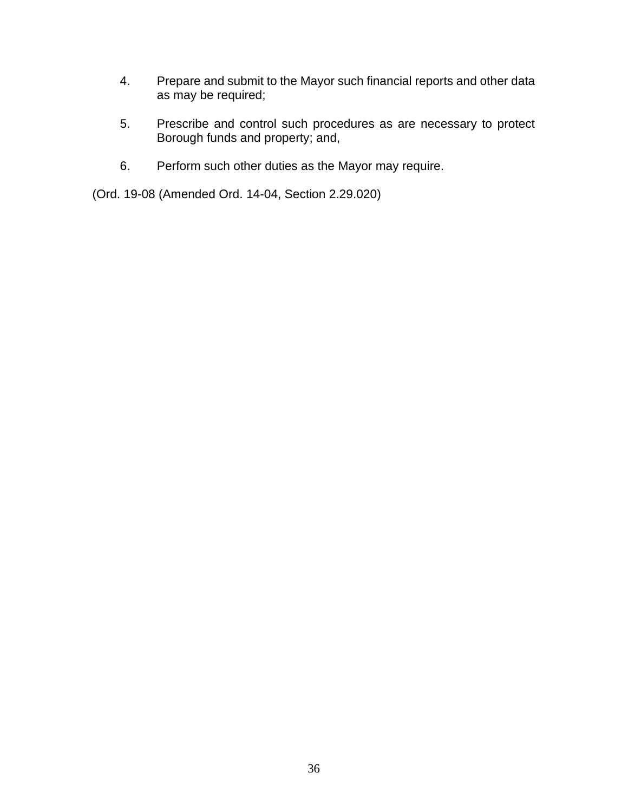- 4. Prepare and submit to the Mayor such financial reports and other data as may be required;
- 5. Prescribe and control such procedures as are necessary to protect Borough funds and property; and,
- 6. Perform such other duties as the Mayor may require.

(Ord. 19-08 (Amended Ord. 14-04, Section 2.29.020)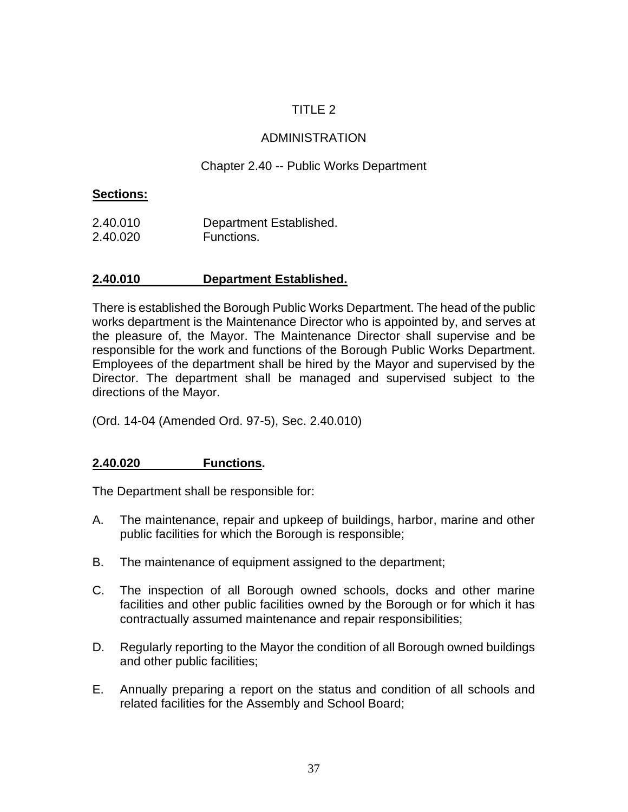### ADMINISTRATION

## Chapter 2.40 -- Public Works Department

#### **Sections:**

| 2.40.010 | Department Established. |
|----------|-------------------------|
| 2.40.020 | Functions.              |

#### **2.40.010 Department Established.**

There is established the Borough Public Works Department. The head of the public works department is the Maintenance Director who is appointed by, and serves at the pleasure of, the Mayor. The Maintenance Director shall supervise and be responsible for the work and functions of the Borough Public Works Department. Employees of the department shall be hired by the Mayor and supervised by the Director. The department shall be managed and supervised subject to the directions of the Mayor.

(Ord. 14-04 (Amended Ord. 97-5), Sec. 2.40.010)

# **2.40.020 Functions.**

The Department shall be responsible for:

- A. The maintenance, repair and upkeep of buildings, harbor, marine and other public facilities for which the Borough is responsible;
- B. The maintenance of equipment assigned to the department;
- C. The inspection of all Borough owned schools, docks and other marine facilities and other public facilities owned by the Borough or for which it has contractually assumed maintenance and repair responsibilities;
- D. Regularly reporting to the Mayor the condition of all Borough owned buildings and other public facilities;
- E. Annually preparing a report on the status and condition of all schools and related facilities for the Assembly and School Board;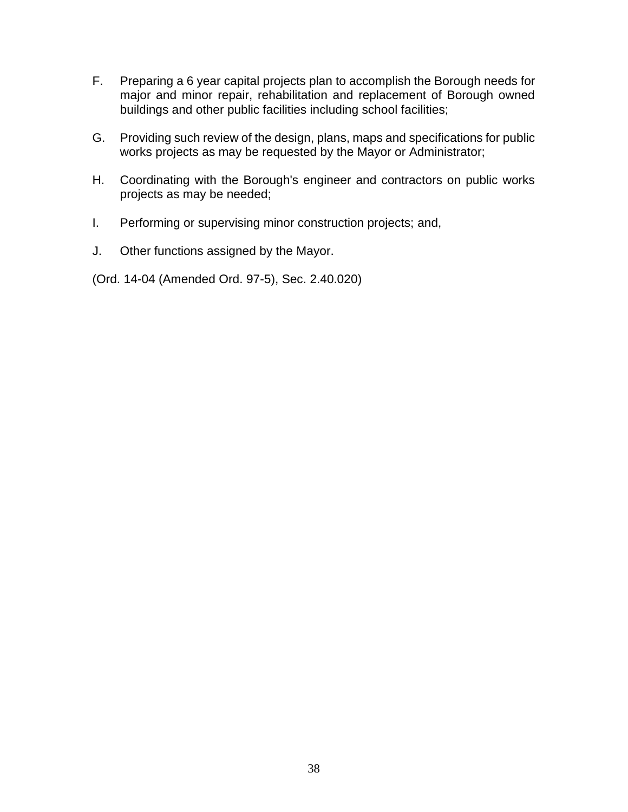- F. Preparing a 6 year capital projects plan to accomplish the Borough needs for major and minor repair, rehabilitation and replacement of Borough owned buildings and other public facilities including school facilities;
- G. Providing such review of the design, plans, maps and specifications for public works projects as may be requested by the Mayor or Administrator;
- H. Coordinating with the Borough's engineer and contractors on public works projects as may be needed;
- I. Performing or supervising minor construction projects; and,
- J. Other functions assigned by the Mayor.
- (Ord. 14-04 (Amended Ord. 97-5), Sec. 2.40.020)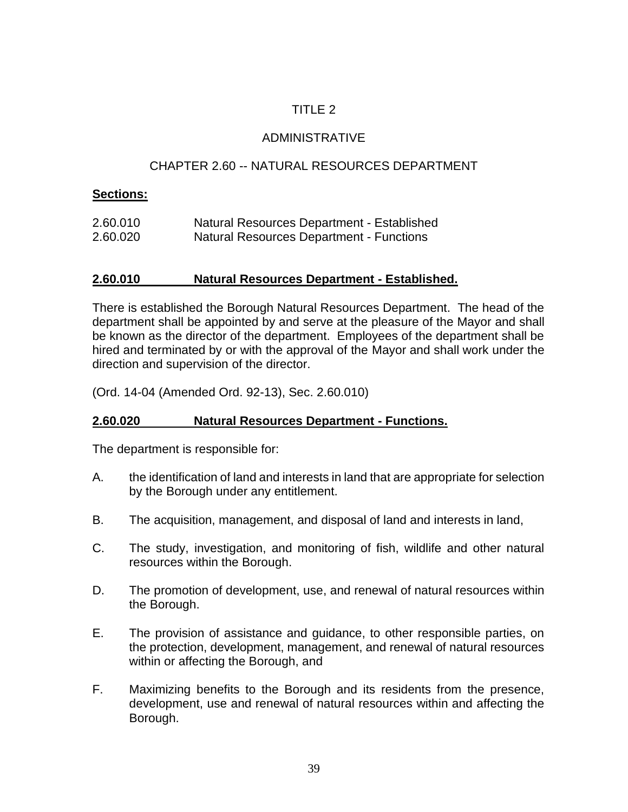### ADMINISTRATIVE

## CHAPTER 2.60 -- NATURAL RESOURCES DEPARTMENT

#### **Sections:**

| 2.60.010 | Natural Resources Department - Established      |
|----------|-------------------------------------------------|
| 2.60.020 | <b>Natural Resources Department - Functions</b> |

#### **2.60.010 Natural Resources Department - Established.**

There is established the Borough Natural Resources Department. The head of the department shall be appointed by and serve at the pleasure of the Mayor and shall be known as the director of the department. Employees of the department shall be hired and terminated by or with the approval of the Mayor and shall work under the direction and supervision of the director.

(Ord. 14-04 (Amended Ord. 92-13), Sec. 2.60.010)

#### **2.60.020 Natural Resources Department - Functions.**

The department is responsible for:

- A. the identification of land and interests in land that are appropriate for selection by the Borough under any entitlement.
- B. The acquisition, management, and disposal of land and interests in land,
- C. The study, investigation, and monitoring of fish, wildlife and other natural resources within the Borough.
- D. The promotion of development, use, and renewal of natural resources within the Borough.
- E. The provision of assistance and guidance, to other responsible parties, on the protection, development, management, and renewal of natural resources within or affecting the Borough, and
- F. Maximizing benefits to the Borough and its residents from the presence, development, use and renewal of natural resources within and affecting the Borough.